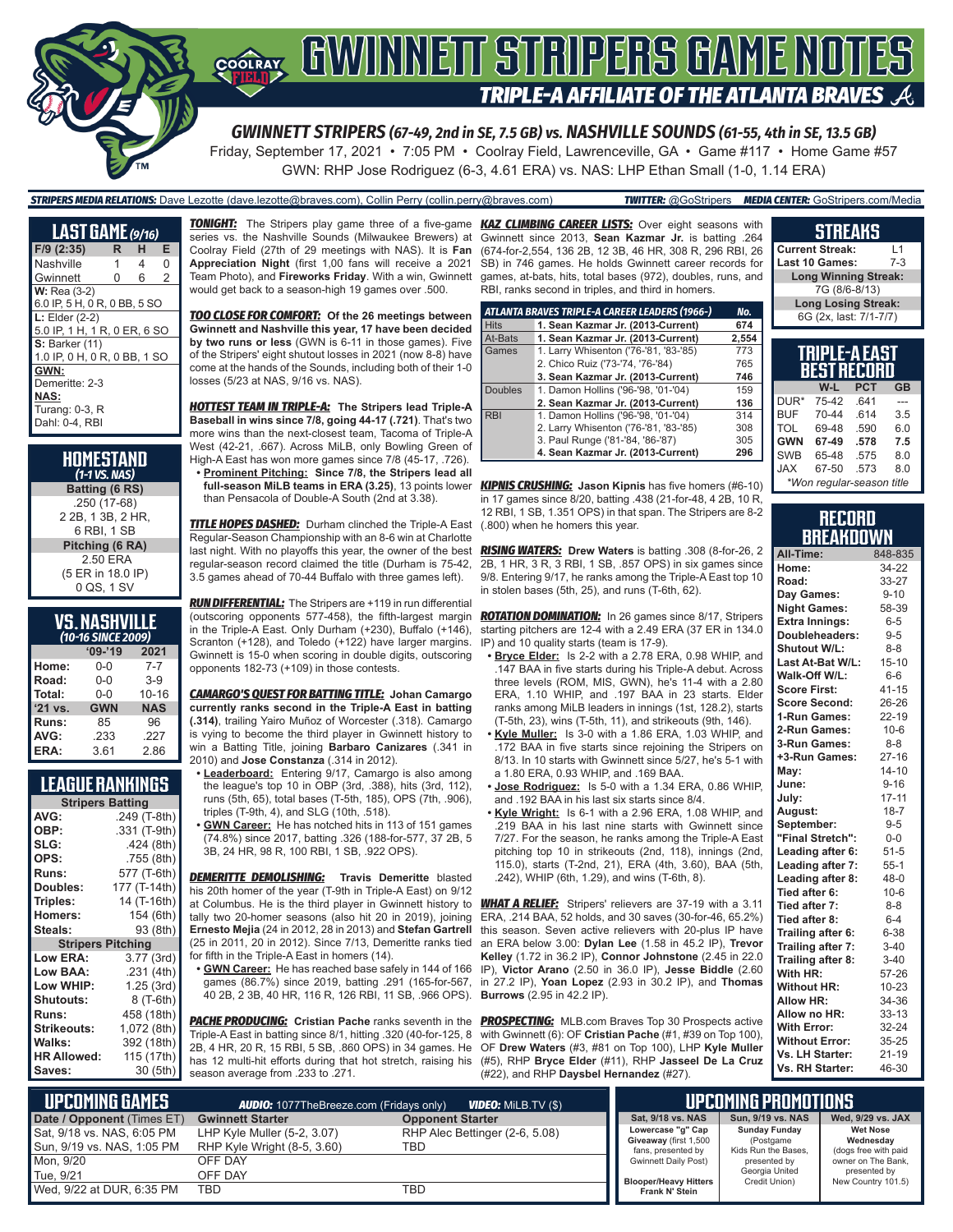

# **COORAY GWINNEIT STRIPERS GAME NOTES TRIPLE-A AFFILIATE OF THE ATLANTA BRAVES**

*GWINNETT STRIPERS (67-49, 2nd in SE, 7.5 GB) vs. NASHVILLE SOUNDS (61-55, 4th in SE, 13.5 GB)*

Friday, September 17, 2021 • 7:05 PM • Coolray Field, Lawrenceville, GA • Game #117 • Home Game #57 GWN: RHP Jose Rodriguez (6-3, 4.61 ERA) vs. NAS: LHP Ethan Small (1-0, 1.14 ERA)

*STRIPERS MEDIA RELATIONS:* Dave Lezotte (dave.lezotte@braves.com), Collin Perry (collin.perry@braves.com) *TWITTER:* @GoStripers *MEDIA CENTER:* GoStripers.com/Media

| LAST GAME (9/16)             |   |   |                |
|------------------------------|---|---|----------------|
| $F/9$ (2:35)                 | R | н | Е              |
| Nashville                    | 1 | 4 | 0              |
| Gwinnett                     | 0 | 6 | $\overline{2}$ |
| $W:$ Rea $(3-2)$             |   |   |                |
| 6.0 IP, 5 H, 0 R, 0 BB, 5 SO |   |   |                |
| $L:$ Elder $(2-2)$           |   |   |                |
| 5.0 IP, 1 H, 1 R, 0 ER, 6 SO |   |   |                |
| <b>S: Barker (11)</b>        |   |   |                |
| 1.0 IP, 0 H, 0 R, 0 BB, 1 SO |   |   |                |
| GWN:                         |   |   |                |
| Demeritte: 2-3               |   |   |                |
| NAS:                         |   |   |                |
| Turang: 0-3, R               |   |   |                |
| Dahl: 0-4, RBI               |   |   |                |

| HOMESTAND<br>$(1-1$ VS. NAS)                     |
|--------------------------------------------------|
| Batting (6 RS)                                   |
| .250 (17-68)<br>2 2B, 1 3B, 2 HR,<br>6 RBI. 1 SB |
| Pitching (6 RA)                                  |
| 2.50 ERA<br>(5 ER in 18.0 IP)<br>0 QS, 1 SV      |

### **VS. NASHVILLE**

| (10-16 SINCE 2009) |            |            |  |  |
|--------------------|------------|------------|--|--|
|                    | $'09-'19$  | 2021       |  |  |
| Home:              | 0-0        | $7 - 7$    |  |  |
| Road:              | $0 - 0$    | $3-9$      |  |  |
| Total:             | $0 - 0$    | $10 - 16$  |  |  |
| $'21$ vs.          | <b>GWN</b> | <b>NAS</b> |  |  |
| Runs:              | 85         | 96         |  |  |
| AVG:               | .233       | .227       |  |  |
| ERA:               | 3.61       | 2.86       |  |  |

#### **LEAGUE RANKINGS**

| <b>Stripers Batting</b>  |              |  |  |
|--------------------------|--------------|--|--|
| AVG:                     | .249 (T-8th) |  |  |
| OBP:                     | .331 (T-9th) |  |  |
| SLG:                     | .424(8th)    |  |  |
| OPS:                     | .755 (8th)   |  |  |
| <b>Runs:</b>             | 577 (T-6th)  |  |  |
| Doubles:                 | 177 (T-14th) |  |  |
| Triples:                 | 14 (T-16th)  |  |  |
| Homers:                  | 154 (6th)    |  |  |
| Steals:                  | 93 (8th)     |  |  |
| <b>Stripers Pitching</b> |              |  |  |
| <b>Low ERA:</b>          | 3.77 (3rd)   |  |  |
| Low BAA:                 | .231 (4th)   |  |  |
| Low WHIP:                | 1.25(3rd)    |  |  |
| <b>Shutouts:</b>         | 8 (T-6th)    |  |  |
| <b>Runs:</b>             | 458 (18th)   |  |  |
| Strikeouts:              | 1,072 (8th)  |  |  |
| Walks:                   | 392 (18th)   |  |  |
| <b>HR Allowed:</b>       | 115 (17th)   |  |  |
| Saves:                   | 30 (5th)     |  |  |

*TONIGHT:* The Stripers play game three of a five-game *KAZ CLIMBING CAREER LISTS:* Over eight seasons with series vs. the Nashville Sounds (Milwaukee Brewers) at Coolray Field (27th of 29 meetings with NAS). It is **Fan Appreciation Night** (first 1,00 fans will receive a 2021 Team Photo), and **Fireworks Friday**. With a win, Gwinnett would get back to a season-high 19 games over .500.

*TOO CLOSE FOR COMFORT:* **Of the 26 meetings between Gwinnett and Nashville this year, 17 have been decided by two runs or less** (GWN is 6-11 in those games). Five of the Stripers' eight shutout losses in 2021 (now 8-8) have come at the hands of the Sounds, including both of their 1-0 losses (5/23 at NAS, 9/16 vs. NAS).

*HOTTEST TEAM IN TRIPLE-A:* **The Stripers lead Triple-A Baseball in wins since 7/8, going 44-17 (.721)**. That's two more wins than the next-closest team, Tacoma of Triple-A West (42-21, .667). Across MiLB, only Bowling Green of High-A East has won more games since 7/8 (45-17, .726).

**• Prominent Pitching: Since 7/8, the Stripers lead all**  than Pensacola of Double-A South (2nd at 3.38).

*TITLE HOPES DASHED:* Durham clinched the Triple-A East Regular-Season Championship with an 8-6 win at Charlotte last night. With no playoffs this year, the owner of the best regular-season record claimed the title (Durham is 75-42, 3.5 games ahead of 70-44 Buffalo with three games left).

*RUN DIFFERENTIAL:* The Stripers are +119 in run differential (outscoring opponents 577-458), the fifth-largest margin in the Triple-A East. Only Durham (+230), Buffalo (+146), Scranton (+128), and Toledo (+122) have larger margins. Gwinnett is 15-0 when scoring in double digits, outscoring opponents 182-73 (+109) in those contests.

*CAMARGO'S QUEST FOR BATTING TITLE:* **Johan Camargo currently ranks second in the Triple-A East in batting (.314)**, trailing Yairo Muñoz of Worcester (.318). Camargo is vying to become the third player in Gwinnett history to win a Batting Title, joining **Barbaro Canizares** (.341 in 2010) and **Jose Constanza** (.314 in 2012).

- **• Leaderboard:** Entering 9/17, Camargo is also among the league's top 10 in OBP (3rd, .388), hits (3rd, 112), runs (5th, 65), total bases (T-5th, 185), OPS (7th, .906), triples (T-9th, 4), and SLG (10th, .518).
- **• GWN Career:** He has notched hits in 113 of 151 games (74.8%) since 2017, batting .326 (188-for-577, 37 2B, 5 3B, 24 HR, 98 R, 100 RBI, 1 SB, .922 OPS).

*DEMERITTE DEMOLISHING:* **Travis Demeritte** blasted his 20th homer of the year (T-9th in Triple-A East) on 9/12 at Columbus. He is the third player in Gwinnett history to tally two 20-homer seasons (also hit 20 in 2019), joining **Ernesto Mejia** (24 in 2012, 28 in 2013) and **Stefan Gartrell** (25 in 2011, 20 in 2012). Since 7/13, Demeritte ranks tied for fifth in the Triple-A East in homers (14).

**• GWN Career:** He has reached base safely in 144 of 166 games (86.7%) since 2019, batting .291 (165-for-567, 40 2B, 2 3B, 40 HR, 116 R, 126 RBI, 11 SB, .966 OPS).

**PACHE PRODUCING:** Cristian Pache ranks seventh in the Triple-A East in batting since 8/1, hitting .320 (40-for-125, 8 2B, 4 HR, 20 R, 15 RBI, 5 SB, .860 OPS) in 34 games. He has 12 multi-hit efforts during that hot stretch, raising his season average from .233 to .271.

Gwinnett since 2013, **Sean Kazmar Jr.** is batting .264 (674-for-2,554, 136 2B, 12 3B, 46 HR, 308 R, 296 RBI, 26 SB) in 746 games. He holds Gwinnett career records for games, at-bats, hits, total bases (972), doubles, runs, and RBI, ranks second in triples, and third in homers.

|                | ATLANTA BRAVES TRIPLE-A CAREER LEADERS (1966-) | No.   |
|----------------|------------------------------------------------|-------|
| <b>Hits</b>    | 1. Sean Kazmar Jr. (2013-Current)              | 674   |
| At-Bats        | 1. Sean Kazmar Jr. (2013-Current)              | 2,554 |
| Games          | 1. Larry Whisenton ('76-'81, '83-'85)          | 773   |
|                | 2. Chico Ruiz ('73-'74, '76-'84)               | 765   |
|                | 3. Sean Kazmar Jr. (2013-Current)              | 746   |
| <b>Doubles</b> | 1. Damon Hollins ('96-'98, '01-'04)            | 159   |
|                | 2. Sean Kazmar Jr. (2013-Current)              | 136   |
| <b>RBI</b>     | 1. Damon Hollins ('96-'98, '01-'04)            | 314   |
|                | 2. Larry Whisenton ('76-'81, '83-'85)          | 308   |
|                | 3. Paul Runge ('81-'84, '86-'87)               | 305   |
|                | 4. Sean Kazmar Jr. (2013-Current)              | 296   |

**full-season MiLB teams in ERA (3.25)**, 13 points lower *KIPNIS CRUSHING:* **Jason Kipnis** has five homers (#6-10) in 17 games since 8/20, batting .438 (21-for-48, 4 2B, 10 R, 12 RBI, 1 SB, 1.351 OPS) in that span. The Stripers are 8-2 (.800) when he homers this year.

> *RISING WATERS:* **Drew Waters** is batting .308 (8-for-26, 2 2B, 1 HR, 3 R, 3 RBI, 1 SB, .857 OPS) in six games since 9/8. Entering 9/17, he ranks among the Triple-A East top 10 in stolen bases (5th, 25), and runs (T-6th, 62).

> *ROTATION DOMINATION:* In 26 games since 8/17, Stripers starting pitchers are 12-4 with a 2.49 ERA (37 ER in 134.0 IP) and 10 quality starts (team is 17-9).

- **• Bryce Elder:** Is 2-2 with a 2.78 ERA, 0.98 WHIP, and .147 BAA in five starts during his Triple-A debut. Across three levels (ROM, MIS, GWN), he's 11-4 with a 2.80 ERA, 1.10 WHIP, and .197 BAA in 23 starts. Elder ranks among MiLB leaders in innings (1st, 128.2), starts (T-5th, 23), wins (T-5th, 11), and strikeouts (9th, 146).
- **• Kyle Muller:** Is 3-0 with a 1.86 ERA, 1.03 WHIP, and .172 BAA in five starts since rejoining the Stripers on 8/13. In 10 starts with Gwinnett since 5/27, he's 5-1 with a 1.80 ERA, 0.93 WHIP, and .169 BAA.
- **• Jose Rodriguez:** Is 5-0 with a 1.34 ERA, 0.86 WHIP, and .192 BAA in his last six starts since 8/4.
- **• Kyle Wright:** Is 6-1 with a 2.96 ERA, 1.08 WHIP, and .219 BAA in his last nine starts with Gwinnett since 7/27. For the season, he ranks among the Triple-A East pitching top 10 in strikeouts (2nd, 118), innings (2nd, 115.0), starts (T-2nd, 21), ERA (4th, 3.60), BAA (5th, .242), WHIP (6th, 1.29), and wins (T-6th, 8).

*WHAT A RELIEF:* Stripers' relievers are 37-19 with a 3.11 ERA, .214 BAA, 52 holds, and 30 saves (30-for-46, 65.2%) this season. Seven active relievers with 20-plus IP have an ERA below 3.00: **Dylan Lee** (1.58 in 45.2 IP), **Trevor Kelley** (1.72 in 36.2 IP), **Connor Johnstone** (2.45 in 22.0 IP), **Victor Arano** (2.50 in 36.0 IP), **Jesse Biddle** (2.60 in 27.2 IP), **Yoan Lopez** (2.93 in 30.2 IP), and **Thomas Burrows** (2.95 in 42.2 IP).

**PROSPECTING:** MLB.com Braves Top 30 Prospects active with Gwinnett (6): OF **Cristian Pache** (#1, #39 on Top 100), OF **Drew Waters** (#3, #81 on Top 100), LHP **Kyle Muller** (#5), RHP **Bryce Elder** (#11), RHP **Jasseel De La Cruz** (#22), and RHP **Daysbel Hernandez** (#27).

#### **TRIPLE-A EAST BEST RECORD Current Streak:** L1<br>Last 10 Games: 7-3 **Last 10 Games: Long Winning Streak:** 7G (8/6-8/13) **Long Losing Streak:** 6G (2x, last: 7/1-7/7)

**STREAKS**

|            | ocal necunu               |            |           |
|------------|---------------------------|------------|-----------|
|            | W-L                       | <b>PCT</b> | <b>GB</b> |
| DUR*       | 75-42                     | .641       |           |
| <b>BUF</b> | 70-44                     | .614       | 3.5       |
| TOL        | 69-48                     | .590       | 6.0       |
| <b>GWN</b> | 67-49                     | .578       | 7.5       |
| <b>SWB</b> | 65-48                     | .575       | 8.0       |
| <b>JAX</b> | 67-50                     | .573       | 8.0       |
|            | *Won regular-season title |            |           |

#### **RECORD BREAKDOWN**

| All-Time:             | 848-835   |
|-----------------------|-----------|
| Home:                 | 34-22     |
| Road:                 | 33-27     |
| Day Games:            | $9 - 10$  |
| <b>Night Games:</b>   | 58-39     |
| <b>Extra Innings:</b> | $6-5$     |
| Doubleheaders:        | $9 - 5$   |
| Shutout W/L:          | $8 - 8$   |
| Last At-Bat W/L:      | $15 - 10$ |
| Walk-Off W/L:         | $6-6$     |
| <b>Score First:</b>   | $41 - 15$ |
| <b>Score Second:</b>  | 26-26     |
| 1-Run Games:          | $22 - 19$ |
| 2-Run Games:          | $10 - 6$  |
| 3-Run Games:          | $8 - 8$   |
| +3-Run Games:         | $27 - 16$ |
| May:                  | $14 - 10$ |
| June:                 | $9 - 16$  |
| July:                 | $17 - 11$ |
| August:               | $18 - 7$  |
| September:            | $9 - 5$   |
| "Final Stretch":      | $0-0$     |
| Leading after 6:      | $51 - 5$  |
| Leading after 7:      | $55-1$    |
| Leading after 8:      | $48 - 0$  |
| Tied after 6:         | $10-6$    |
| Tied after 7:         | $8 - 8$   |
| Tied after 8:         | $6 - 4$   |
| Trailing after 6:     | $6 - 38$  |
| Trailing after 7:     | $3 - 40$  |
| Trailing after 8:     | $3 - 40$  |
| With HR:              | 57-26     |
| <b>Without HR:</b>    | $10 - 23$ |
| <b>Allow HR:</b>      | 34-36     |
| Allow no HR:          | $33 - 13$ |
| <b>With Error:</b>    | 32-24     |
| <b>Without Error:</b> | 35-25     |
| Vs. LH Starter:       | $21 - 19$ |
| Vs. RH Starter:       | 46-30     |

| UPCOMING GAMES<br><b>VIDEO:</b> MILB.TV (\$)<br><b>AUDIO:</b> 1077TheBreeze.com (Fridays only) |                                                            |                                       | <b>LUPCOMING PROMOTIONS</b> |                                                                  |                                                          |                                                      |
|------------------------------------------------------------------------------------------------|------------------------------------------------------------|---------------------------------------|-----------------------------|------------------------------------------------------------------|----------------------------------------------------------|------------------------------------------------------|
| Date / Opponent (Times ET)                                                                     | <b>Gwinnett Starter</b>                                    | <b>Opponent Starter</b>               |                             | Sat, 9/18 vs. NAS                                                | Sun, 9/19 vs. NAS                                        | Wed, 9/29 vs. JAX                                    |
| <b>Sat, 9/18 vs. NAS, 6:05 PM</b><br>Sun, 9/19 vs. NAS, 1:05 PM                                | LHP Kyle Muller (5-2, 3.07)<br>RHP Kyle Wright (8-5, 3.60) | RHP Alec Bettinger (2-6, 5.08)<br>TBD |                             | Lowercase "g" Cap<br>Giveaway (first 1,500<br>fans, presented by | <b>Sunday Funday</b><br>(Postgame<br>Kids Run the Bases. | <b>Wet Nose</b><br>Wednesday<br>(dogs free with paid |
| Mon, 9/20                                                                                      | OFF DAY<br>OFF DAY                                         |                                       |                             | <b>Gwinnett Daily Post)</b>                                      | presented by<br>Georgia United                           | owner on The Bank.<br>presented by                   |
| Tue. 9/21<br>$\,$ Wed. 9/22 at DUR. 6:35 PM                                                    | TBD                                                        | TBD                                   |                             | <b>Blooper/Heavy Hitters</b><br>Frank N' Stein                   | Credit Union)                                            | New Country 101.5)                                   |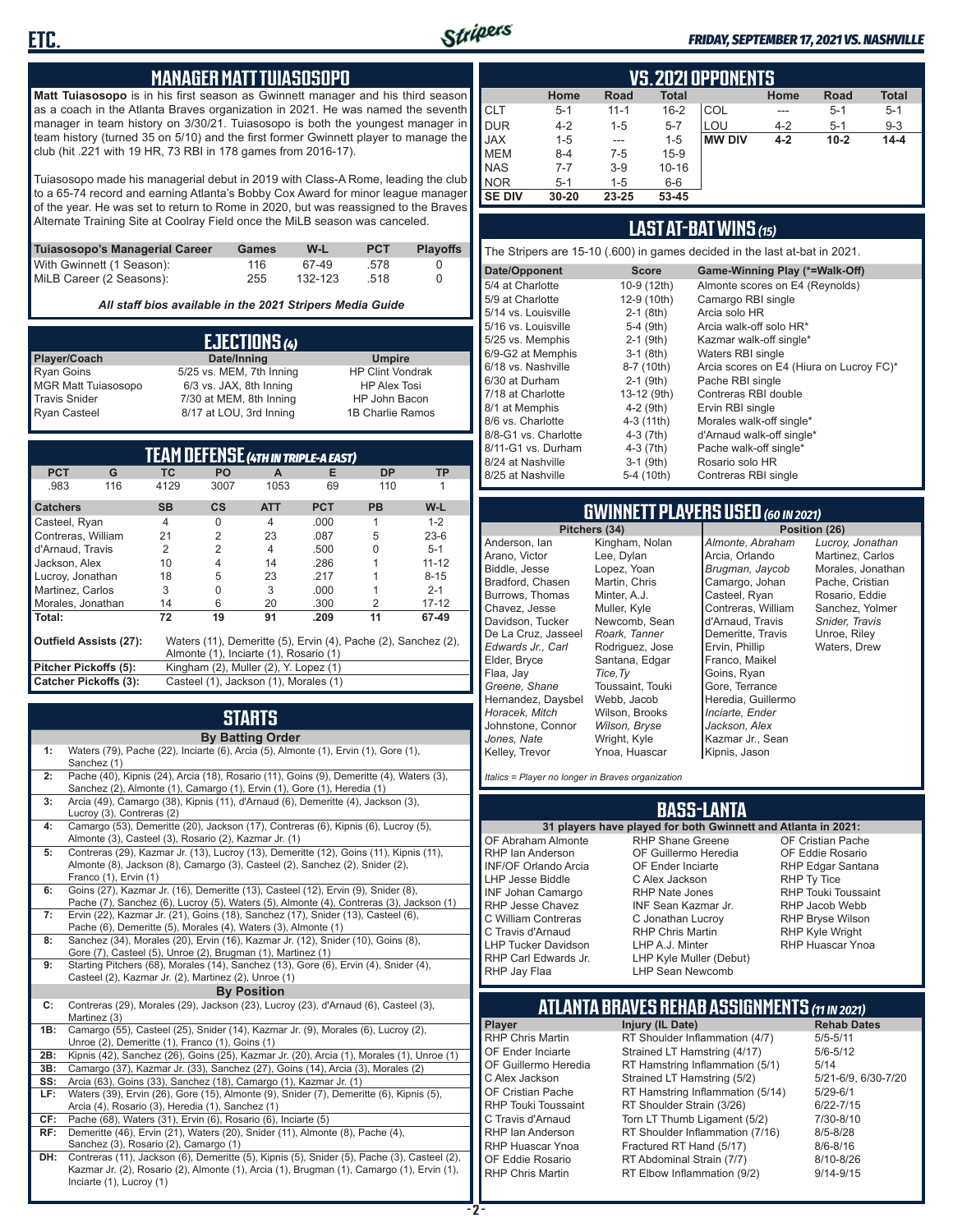

#### *FRIDAY, SEPTEMBER 17, 2021 VS. NASHVILLE*

#### **MANAGER MATT TUIASOSOPO**

**Matt Tuiasosopo** is in his first season as Gwinnett manager and his third season as a coach in the Atlanta Braves organization in 2021. He was named the seventh manager in team history on 3/30/21. Tuiasosopo is both the youngest manager in team history (turned 35 on 5/10) and the first former Gwinnett player to manage the club (hit .221 with 19 HR, 73 RBI in 178 games from 2016-17).

Tuiasosopo made his managerial debut in 2019 with Class-A Rome, leading the club to a 65-74 record and earning Atlanta's Bobby Cox Award for minor league manager of the year. He was set to return to Rome in 2020, but was reassigned to the Braves Alternate Training Site at Coolray Field once the MiLB season was canceled.

| Tuiasosopo's Managerial Career | Games | W-L     | <b>PCT</b> | <b>Plavoffs</b> |
|--------------------------------|-------|---------|------------|-----------------|
| With Gwinnett (1 Season):      | 116   | 67-49   | .578       |                 |
| MiLB Career (2 Seasons):       | 255   | 132-123 | .518       |                 |

*All staff bios available in the 2021 Stripers Media Guide*

|                            | EJECTIONS (4)            |                         |
|----------------------------|--------------------------|-------------------------|
| Player/Coach               | Date/Inning              | <b>Umpire</b>           |
| <b>Ryan Goins</b>          | 5/25 vs. MEM, 7th Inning | <b>HP Clint Vondrak</b> |
| <b>MGR Matt Tuiasosopo</b> | 6/3 vs. JAX, 8th Inning  | <b>HP Alex Tosi</b>     |
| <b>Travis Snider</b>       | 7/30 at MEM, 8th Inning  | HP John Bacon           |
| <b>Ryan Casteel</b>        | 8/17 at LOU, 3rd Inning  | 1B Charlie Ramos        |

|                               |     |           | TEAM DÉFENSE (4TH IN TRIPLE-A EAST)    |                |            |                                                                |           |
|-------------------------------|-----|-----------|----------------------------------------|----------------|------------|----------------------------------------------------------------|-----------|
| <b>PCT</b>                    | G   | ТC        | PO.                                    | A              | Е          | <b>DP</b>                                                      | <b>TP</b> |
| .983                          | 116 | 4129      | 3007                                   | 1053           | 69         | 110                                                            |           |
| <b>Catchers</b>               |     | <b>SB</b> | $\mathsf{cs}$                          | <b>ATT</b>     | <b>PCT</b> | <b>PB</b>                                                      | $W-L$     |
| Casteel, Ryan                 |     | 4         | 0                                      | 4              | .000       | 1                                                              | $1 - 2$   |
| Contreras, William            |     | 21        | $\overline{2}$                         | 23             | .087       | 5                                                              | $23-6$    |
| d'Arnaud. Travis              |     | 2         | $\overline{2}$                         | $\overline{4}$ | .500       | U                                                              | $5 - 1$   |
| Jackson, Alex                 |     | 10        | 4                                      | 14             | .286       |                                                                | $11 - 12$ |
| Lucroy, Jonathan              |     | 18        | 5                                      | 23             | .217       |                                                                | $8 - 15$  |
| Martinez, Carlos              |     | 3         | $\Omega$                               | 3              | .000       |                                                                | $2 - 1$   |
| Morales, Jonathan             |     | 14        | 6                                      | 20             | .300       | 2                                                              | $17 - 12$ |
| Total:                        |     | 72        | 19                                     | 91             | .209       | 11                                                             | 67-49     |
| <b>Outfield Assists (27):</b> |     |           | Almonte (1), Inciarte (1), Rosario (1) |                |            | Waters (11), Demeritte (5), Ervin (4), Pache (2), Sanchez (2), |           |
| Pitcher Pickoffs (5):         |     |           | Kingham (2), Muller (2), Y. Lopez (1)  |                |            |                                                                |           |
| <b>Catcher Pickoffs (3):</b>  |     |           | Casteel (1), Jackson (1), Morales (1)  |                |            |                                                                |           |

# **STARTS**

|     | <b>By Batting Order</b>                                                                                                                                                                                              |
|-----|----------------------------------------------------------------------------------------------------------------------------------------------------------------------------------------------------------------------|
| 1:  | Waters (79), Pache (22), Inciarte (6), Arcia (5), Almonte (1), Ervin (1), Gore (1),<br>Sanchez (1)                                                                                                                   |
| 2:  | Pache (40), Kipnis (24), Arcia (18), Rosario (11), Goins (9), Demeritte (4), Waters (3),<br>Sanchez (2), Almonte (1), Camargo (1), Ervin (1), Gore (1), Heredia (1)                                                  |
| 3:  | Arcia (49), Camargo (38), Kipnis (11), d'Arnaud (6), Demeritte (4), Jackson (3),<br>Lucroy (3), Contreras (2)                                                                                                        |
| 4:  | Camargo (53), Demeritte (20), Jackson (17), Contreras (6), Kipnis (6), Lucroy (5),<br>Almonte (3), Casteel (3), Rosario (2), Kazmar Jr. (1)                                                                          |
| 5:  | Contreras (29), Kazmar Jr. (13), Lucroy (13), Demeritte (12), Goins (11), Kipnis (11),<br>Almonte (8), Jackson (8), Camargo (3), Casteel (2), Sanchez (2), Snider (2),<br>Franco (1), Ervin (1)                      |
| 6:  | Goins (27), Kazmar Jr. (16), Demeritte (13), Casteel (12), Ervin (9), Snider (8),<br>Pache (7), Sanchez (6), Lucroy (5), Waters (5), Almonte (4), Contreras (3), Jackson (1)                                         |
| 7:  | Ervin (22), Kazmar Jr. (21), Goins (18), Sanchez (17), Snider (13), Casteel (6),<br>Pache (6), Demeritte (5), Morales (4), Waters (3), Almonte (1)                                                                   |
| 8:  | Sanchez (34), Morales (20), Ervin (16), Kazmar Jr. (12), Snider (10), Goins (8),<br>Gore (7), Casteel (5), Unroe (2), Brugman (1), Martinez (1)                                                                      |
| 9:  | Starting Pitchers (68), Morales (14), Sanchez (13), Gore (6), Ervin (4), Snider (4),<br>Casteel (2), Kazmar Jr. (2), Martinez (2), Unroe (1)                                                                         |
|     | <b>By Position</b>                                                                                                                                                                                                   |
| C:  | Contreras (29), Morales (29), Jackson (23), Lucroy (23), d'Arnaud (6), Casteel (3),<br>Martinez (3)                                                                                                                  |
| 1B: | Camargo (55), Casteel (25), Snider (14), Kazmar Jr. (9), Morales (6), Lucroy (2),<br>Unroe (2), Demeritte (1), Franco (1), Goins (1)                                                                                 |
| 2B: | Kipnis (42), Sanchez (26), Goins (25), Kazmar Jr. (20), Arcia (1), Morales (1), Unroe (1)                                                                                                                            |
| 3B: | Camargo (37), Kazmar Jr. (33), Sanchez (27), Goins (14), Arcia (3), Morales (2)                                                                                                                                      |
| SS: | Arcia (63), Goins (33), Sanchez (18), Camargo (1), Kazmar Jr. (1)                                                                                                                                                    |
| LF: | Waters (39), Ervin (26), Gore (15), Almonte (9), Snider (7), Demeritte (6), Kipnis (5),<br>Arcia (4), Rosario (3), Heredia (1), Sanchez (1)                                                                          |
| CF: | Pache (68), Waters (31), Ervin (6), Rosario (6), Inciarte (5)                                                                                                                                                        |
| RF: | Demeritte (46), Ervin (21), Waters (20), Snider (11), Almonte (8), Pache (4),<br>Sanchez (3), Rosario (2), Camargo (1)                                                                                               |
| DH: | Contreras (11), Jackson (6), Demeritte (5), Kipnis (5), Snider (5), Pache (3), Casteel (2),<br>Kazmar Jr. (2), Rosario (2), Almonte (1), Arcia (1), Brugman (1), Camargo (1), Ervin (1),<br>Inciarte (1), Lucroy (1) |

|               | VS.2021 OPPONENTS                                                          |          |           |               |         |          |          |  |  |  |  |  |  |  |  |
|---------------|----------------------------------------------------------------------------|----------|-----------|---------------|---------|----------|----------|--|--|--|--|--|--|--|--|
|               | <b>Road</b><br><b>Total</b><br>Home<br><b>Total</b><br><b>Road</b><br>Home |          |           |               |         |          |          |  |  |  |  |  |  |  |  |
| <b>CLT</b>    | $5 - 1$                                                                    | $11 - 1$ | $16 - 2$  | COL           | ---     | $5 - 1$  | $5 - 1$  |  |  |  |  |  |  |  |  |
| <b>DUR</b>    | $4 - 2$                                                                    | 1-5      | $5 - 7$   | LOU           | $4 - 2$ | $5 - 1$  | $9 - 3$  |  |  |  |  |  |  |  |  |
| <b>JAX</b>    | $1 - 5$                                                                    | $- - -$  | $1 - 5$   | <b>MW DIV</b> | $4 - 2$ | $10 - 2$ | $14 - 4$ |  |  |  |  |  |  |  |  |
| <b>MEM</b>    | $8 - 4$                                                                    | $7-5$    | $15-9$    |               |         |          |          |  |  |  |  |  |  |  |  |
| <b>NAS</b>    | $7 - 7$                                                                    | $3-9$    | $10 - 16$ |               |         |          |          |  |  |  |  |  |  |  |  |
| <b>NOR</b>    | $5-1$                                                                      | $1 - 5$  | $6-6$     |               |         |          |          |  |  |  |  |  |  |  |  |
| <b>SE DIV</b> | $30 - 20$                                                                  | 23-25    | 53-45     |               |         |          |          |  |  |  |  |  |  |  |  |

#### **LAST AT-BAT WINS** *(15)*

The Stripers are 15-10 (.600) in games decided in the last at-bat in 2021.

| Date/Opponent        | <b>Score</b> | Game-Winning Play (*=Walk-Off)           |
|----------------------|--------------|------------------------------------------|
| 5/4 at Charlotte     | 10-9 (12th)  | Almonte scores on E4 (Reynolds)          |
| 5/9 at Charlotte     | 12-9 (10th)  | Camargo RBI single                       |
| 5/14 vs. Louisville  | $2-1$ (8th)  | Arcia solo HR                            |
| 5/16 vs. Louisville  | $5-4$ (9th)  | Arcia walk-off solo HR*                  |
| 5/25 vs. Memphis     | $2-1$ (9th)  | Kazmar walk-off single*                  |
| 6/9-G2 at Memphis    | $3-1$ (8th)  | Waters RBI single                        |
| 6/18 vs. Nashville   | 8-7 (10th)   | Arcia scores on E4 (Hiura on Lucroy FC)* |
| 6/30 at Durham       | $2-1$ (9th)  | Pache RBI single                         |
| 7/18 at Charlotte    | 13-12 (9th)  | Contreras RBI double                     |
| 8/1 at Memphis       | $4-2$ (9th)  | Ervin RBI single                         |
| 8/6 vs. Charlotte    | 4-3 (11th)   | Morales walk-off single*                 |
| 8/8-G1 vs. Charlotte | $4-3(7th)$   | d'Arnaud walk-off single*                |
| 8/11-G1 vs. Durham   | $4-3(7th)$   | Pache walk-off single*                   |
| 8/24 at Nashville    | $3-1$ (9th)  | Rosario solo HR                          |
| 8/25 at Nashville    | 5-4 (10th)   | Contreras RBI single                     |
|                      |              |                                          |

# **GWINNETT PLAYERS USED** *(60 IN 2021)*

Anderson, Ian Arano, Victor Biddle, Jesse Bradford, Chasen Burrows, Thomas Chavez, Jesse Davidson, Tucker De La Cruz, Jasseel *Edwards Jr., Carl* Elder, Bryce Flaa, Jay *Greene, Shane*  Hernandez, Daysbel *Horacek, Mitch* Johnstone, Connor *Jones, Nate* Kelley, Trevor Kingham, Nolan Lee, Dylan Lopez, Yoan Martin, Chris Minter, A.J. Muller, Kyle Newcomb, Sean *Roark, Tanner* Rodriguez, Jose Santana, Edgar *Tice,Ty* Toussaint, Touki Webb, Jacob Wilson, Brooks *Wilson, Bryse* Wright, Kyle Ynoa, Huascar

**Position (26)** *Almonte, Abraham* Arcia, Orlando *Brugman, Jaycob* Camargo, Johan Casteel, Ryan Contreras, William d'Arnaud, Travis Demeritte, Travis Ervin, Phillip Franco, Maikel Goins, Ryan Gore, Terrance Heredia, Guillermo *Inciarte, Ender Jackson, Alex* Kazmar Jr., Sean Kipnis, Jason

*Lucroy, Jonathan* Martinez, Carlos Morales, Jonathan Pache, Cristian Rosario, Eddie Sanchez, Yolmer *Snider, Travis* Unroe, Riley Waters, Drew

*Italics = Player no longer in Braves organization*

#### **BASS-LANTA**

OF Abraham Almonte RHP Ian Anderson INF/OF Orlando Arcia LHP Jesse Biddle INF Johan Camargo RHP Jesse Chavez C William Contreras C Travis d'Arnaud LHP Tucker Davidson RHP Carl Edwards Jr. RHP Jay Flaa

**31 players have played for both Gwinnett and Atlanta in 2021:** RHP Shane Greene OF Guillermo Heredia OF Ender Inciarte C Alex Jackson RHP Nate Jones INF Sean Kazmar Jr. C Jonathan Lucroy RHP Chris Martin LHP A.J. Minter LHP Kyle Muller (Debut) LHP Sean Newcomb

OF Cristian Pache OF Eddie Rosario RHP Edgar Santana RHP Ty Tice RHP Touki Toussaint RHP Jacob Webb RHP Bryse Wilson RHP Kyle Wright RHP Huascar Ynoa

#### **ATLANTA BRAVES REHAB ASSIGNMENTS** *(11 IN 2021)* **Player Injury (IL Date)**

RHP Chris Martin RT Shoulder Inflammation (4/7) 5/5-5/11<br>OF Ender Inciarte Strained LT Hamstring (4/17) 5/6-5/12 OF Ender Inciarte Strained LT Hamstring (4/17)<br>OF Guillermo Heredia RT Hamstring Inflammation (5) RT Hamstring Inflammation  $(5/1)$  5/14<br>Strained LT Hamstring  $(5/2)$  5/21-6/9, 6/30-7/20 C Alex Jackson Strained LT Hamstring (5/2) 5/21-6/9<br>CF Cristian Pache RT Hamstring Inflammation (5/14) 5/29-6/1 OF Cristian Pache RT Hamstring Inflammation (5/14) 5/29-6/1<br>RHP Touki Toussaint RT Shoulder Strain (3/26) 6/22-7/15 RT Shoulder Strain (3/26) C Travis d'Arnaud Torn LT Thumb Ligament (5/2) 7/30-8/10 RHP Ian Anderson RT Shoulder Inflammation (7/16) 8/5-8/28<br>RHP Huascar Ynoa Fractured RT Hand (5/17) 8/6-8/16 RHP Huascar Ynoa Fractured RT Hand (5/17) 8/6-8/16<br>OF Eddie Rosario RT Abdominal Strain (7/7) 8/10-8/26 RT Abdominal Strain (7/7) RHP Chris Martin **RT Elbow Inflammation (9/2)** 9/14-9/15

**- 2 -**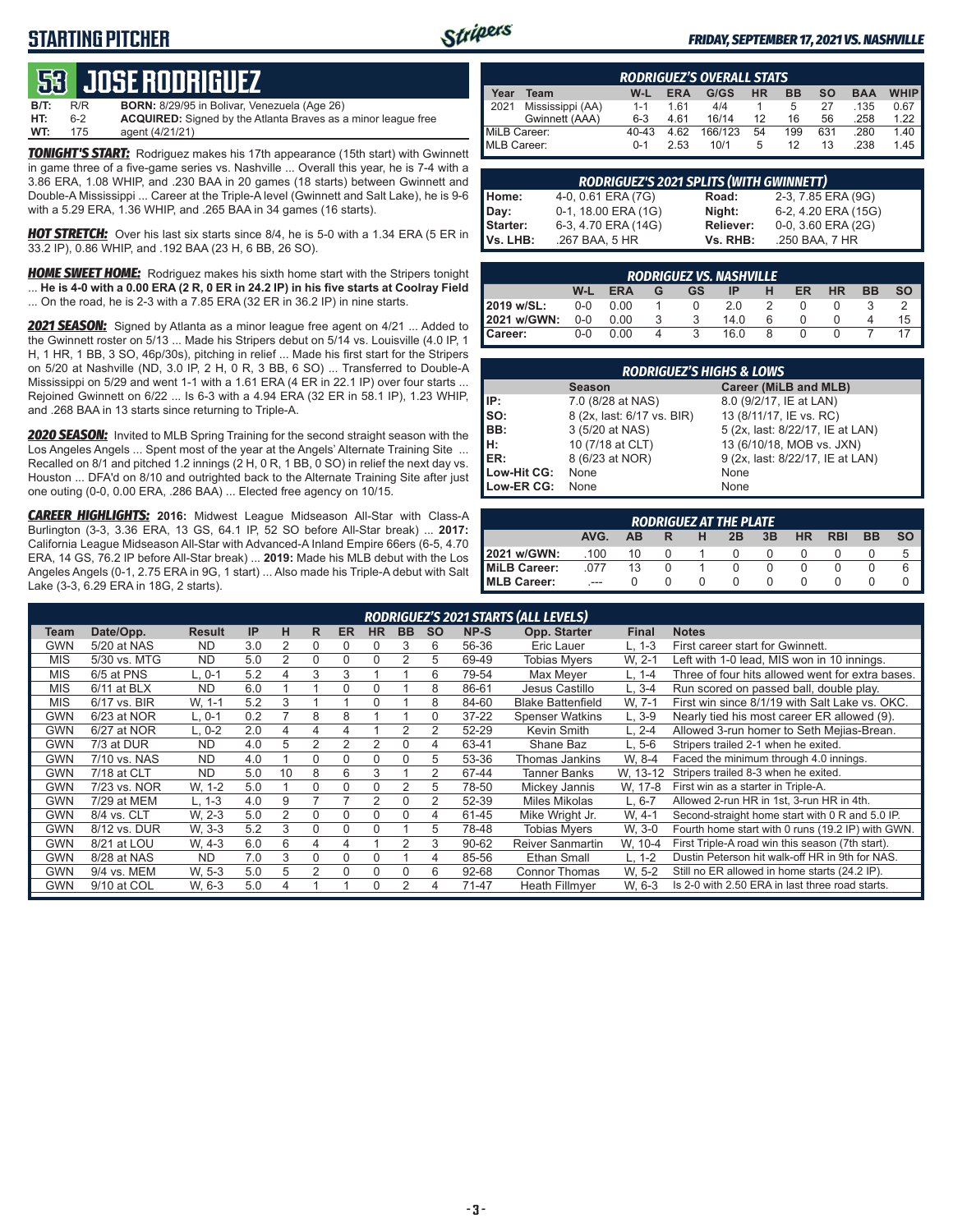### **STARTING PITCHER**



#### *FRIDAY, SEPTEMBER 17, 2021 VS. NASHVILLE*

# **53****JOSE RODRIGUEZ**

**B/T:** R/R **BORN:** 8/29/95 in Bolivar, Venezuela (Age 26)<br>**HT:** 6-2 **ACQUIRED:** Signed by the Atlanta Braves as ACQUIRED: Signed by the Atlanta Braves as a minor league free **WT:** 175 agent (4/21/21)

*TONIGHT'S START:* Rodriguez makes his 17th appearance (15th start) with Gwinnett in game three of a five-game series vs. Nashville ... Overall this year, he is 7-4 with a 3.86 ERA, 1.08 WHIP, and .230 BAA in 20 games (18 starts) between Gwinnett and Double-A Mississippi ... Career at the Triple-A level (Gwinnett and Salt Lake), he is 9-6 with a 5.29 ERA, 1.36 WHIP, and .265 BAA in 34 games (16 starts).

*HOT STRETCH:* Over his last six starts since 8/4, he is 5-0 with a 1.34 ERA (5 ER in 33.2 IP), 0.86 WHIP, and .192 BAA (23 H, 6 BB, 26 SO).

*HOME SWEET HOME:* Rodriguez makes his sixth home start with the Stripers tonight ... **He is 4-0 with a 0.00 ERA (2 R, 0 ER in 24.2 IP) in his five starts at Coolray Field** ... On the road, he is 2-3 with a 7.85 ERA (32 ER in 36.2 IP) in nine starts.

*2021 SEASON:* Signed by Atlanta as a minor league free agent on 4/21 ... Added to the Gwinnett roster on 5/13 ... Made his Stripers debut on 5/14 vs. Louisville (4.0 IP, 1 H, 1 HR, 1 BB, 3 SO, 46p/30s), pitching in relief ... Made his first start for the Stripers on 5/20 at Nashville (ND, 3.0 IP, 2 H, 0 R, 3 BB, 6 SO) ... Transferred to Double-A Mississippi on 5/29 and went 1-1 with a 1.61 ERA (4 ER in 22.1 IP) over four starts ... Rejoined Gwinnett on 6/22 ... Is 6-3 with a 4.94 ERA (32 ER in 58.1 IP), 1.23 WHIP, and .268 BAA in 13 starts since returning to Triple-A.

*2020 SEASON:* Invited to MLB Spring Training for the second straight season with the Los Angeles Angels ... Spent most of the year at the Angels' Alternate Training Site ... Recalled on 8/1 and pitched 1.2 innings (2 H, 0 R, 1 BB, 0 SO) in relief the next day vs. Houston ... DFA'd on 8/10 and outrighted back to the Alternate Training Site after just one outing (0-0, 0.00 ERA, .286 BAA) ... Elected free agency on 10/15.

*CAREER HIGHLIGHTS:* **2016:** Midwest League Midseason All-Star with Class-A Burlington (3-3, 3.36 ERA, 13 GS, 64.1 IP, 52 SO before All-Star break) ... **2017:** California League Midseason All-Star with Advanced-A Inland Empire 66ers (6-5, 4.70 ERA, 14 GS, 76.2 IP before All-Star break) ... **2019:** Made his MLB debut with the Los Angeles Angels (0-1, 2.75 ERA in 9G, 1 start) ... Also made his Triple-A debut with Salt Lake (3-3, 6.29 ERA in 18G, 2 starts).

|              | <b>RODRIGUEZ'S OVERALL STATS</b> |           |            |         |    |     |     |            |             |  |  |  |  |
|--------------|----------------------------------|-----------|------------|---------|----|-----|-----|------------|-------------|--|--|--|--|
| Year         | Team                             | W-L       | <b>ERA</b> | G/GS    | HR | ВB  | SΟ  | <b>BAA</b> | <b>WHIP</b> |  |  |  |  |
| 2021         | Mississippi (AA)                 | $1 - 1$   | 161        | 4/4     |    | 5   | 27  | .135       | 0.67        |  |  |  |  |
|              | Gwinnett (AAA)                   | $6-3$     | 4.61       | 16/14   | 12 | 16  | 56  | .258       | 1.22        |  |  |  |  |
| MiLB Career: |                                  | $40 - 43$ | 4.62       | 166/123 | 54 | 199 | 631 | .280       | 1.40        |  |  |  |  |
| MLB Career:  |                                  | $0 - 1$   | 2.53       | 10/1    | 5  | 12  | 13  | .238       | 1.45        |  |  |  |  |

|          | <b>RODRIGUEZ'S 2021 SPLITS (WITH GWINNETT)</b> |           |                     |
|----------|------------------------------------------------|-----------|---------------------|
| Home:    | 4-0, 0.61 ERA (7G)                             | Road:     | 2-3, 7.85 ERA (9G)  |
| Day:     | 0-1, 18.00 ERA (1G)                            | Night:    | 6-2, 4.20 ERA (15G) |
| Starter: | 6-3, 4.70 ERA (14G)                            | Reliever: | 0-0, 3.60 ERA (2G)  |
| Vs. LHB: | .267 BAA, 5 HR                                 | Vs. RHB:  | .250 BAA, 7 HR      |

|                                                                                      | <b>RODRIGUEZ VS. NASHVILLE</b> |      |  |  |      |  |              |  |  |    |  |  |  |  |  |
|--------------------------------------------------------------------------------------|--------------------------------|------|--|--|------|--|--------------|--|--|----|--|--|--|--|--|
| <b>HR</b><br><b>BB</b><br>W-L<br>ER<br><b>SO</b><br><b>ERA</b><br>н<br>GS<br>ΙP<br>G |                                |      |  |  |      |  |              |  |  |    |  |  |  |  |  |
| 2019 w/SL:                                                                           | $0-0$                          | 0.00 |  |  | 2.0  |  |              |  |  |    |  |  |  |  |  |
| 2021 w/GWN:                                                                          | $0 - 0$                        | 0.00 |  |  | 14.0 |  |              |  |  | 15 |  |  |  |  |  |
| Career:                                                                              | $0 - 0$                        | 0.00 |  |  | 16.0 |  | $\mathbf{U}$ |  |  |    |  |  |  |  |  |

|             | <b>RODRIGUEZ'S HIGHS &amp; LOWS</b> |                                  |  |  |  |  |  |  |  |  |  |  |
|-------------|-------------------------------------|----------------------------------|--|--|--|--|--|--|--|--|--|--|
|             | <b>Season</b>                       | Career (MiLB and MLB)            |  |  |  |  |  |  |  |  |  |  |
| IP:         | 7.0 (8/28 at NAS)                   | 8.0 (9/2/17, IE at LAN)          |  |  |  |  |  |  |  |  |  |  |
| SO:<br>BB:  | 8 (2x, last: 6/17 vs. BIR)          | 13 (8/11/17, IE vs. RC)          |  |  |  |  |  |  |  |  |  |  |
|             | 3 (5/20 at NAS)                     | 5 (2x, last: 8/22/17, IE at LAN) |  |  |  |  |  |  |  |  |  |  |
| Iн.         | 10 (7/18 at CLT)                    | 13 (6/10/18, MOB vs. JXN)        |  |  |  |  |  |  |  |  |  |  |
| ER:         | 8 (6/23 at NOR)                     | 9 (2x, last: 8/22/17, IE at LAN) |  |  |  |  |  |  |  |  |  |  |
| Low-Hit CG: | None                                | None                             |  |  |  |  |  |  |  |  |  |  |
| Low-ER CG:  | None                                | None                             |  |  |  |  |  |  |  |  |  |  |

| <b>RODRIGUEZ AT THE PLATE</b>                                                    |         |    |  |  |  |  |  |  |  |   |  |  |  |
|----------------------------------------------------------------------------------|---------|----|--|--|--|--|--|--|--|---|--|--|--|
| <b>BB</b><br><b>SO</b><br>AVG.<br><b>RBI</b><br>3B<br><b>HR</b><br>2B<br>н<br>AВ |         |    |  |  |  |  |  |  |  |   |  |  |  |
| 2021 w/GWN:                                                                      | .100    | 10 |  |  |  |  |  |  |  | 5 |  |  |  |
| MiLB Career:                                                                     | 077     | 13 |  |  |  |  |  |  |  | 6 |  |  |  |
| <b>IMLB Career:</b>                                                              | $- - -$ |    |  |  |  |  |  |  |  |   |  |  |  |

|            | RODRIGUEZ'S 2021 STARTS (ALL LEVELS) |               |     |                |   |           |           |           |           |           |                          |              |                                                   |
|------------|--------------------------------------|---------------|-----|----------------|---|-----------|-----------|-----------|-----------|-----------|--------------------------|--------------|---------------------------------------------------|
| Team       | Date/Opp.                            | <b>Result</b> | IP  | н              | R | <b>ER</b> | <b>HR</b> | <b>BB</b> | <b>SO</b> | NP-S      | Opp. Starter             | <b>Final</b> | <b>Notes</b>                                      |
| GWN        | $5/20$ at NAS                        | <b>ND</b>     | 3.0 | 2              | 0 | 0         |           | 3         | 6         | 56-36     | Eric Lauer               | L. 1-3       | First career start for Gwinnett.                  |
| <b>MIS</b> | 5/30 vs. MTG                         | <b>ND</b>     | 5.0 | 2              | 0 | 0         |           | 2         | 5         | 69-49     | <b>Tobias Mvers</b>      | W. 2-1       | Left with 1-0 lead, MIS won in 10 innings.        |
| <b>MIS</b> | 6/5 at PNS                           | L. 0-1        | 5.2 | 4              | 3 | 3         |           |           | 6         | 79-54     | Max Mever                | L. 1-4       | Three of four hits allowed went for extra bases.  |
| <b>MIS</b> | $6/11$ at BLX                        | <b>ND</b>     | 6.0 |                |   | 0         |           |           | 8         | 86-61     | Jesus Castillo           | L, 3-4       | Run scored on passed ball, double play.           |
| <b>MIS</b> | 6/17 vs. BIR                         | W, 1-1        | 5.2 | 3              |   |           |           |           | 8         | 84-60     | <b>Blake Battenfield</b> | W. 7-1       | First win since 8/1/19 with Salt Lake vs. OKC.    |
| <b>GWN</b> | 6/23 at NOR                          | L. 0-1        | 0.2 |                | 8 | 8         |           |           | 0         | $37 - 22$ | <b>Spenser Watkins</b>   | L. 3-9       | Nearly tied his most career ER allowed (9).       |
| GWN        | 6/27 at NOR                          | L. 0-2        | 2.0 | 4              | 4 | 4         |           | 2         | 2         | 52-29     | Kevin Smith              | L, 2-4       | Allowed 3-run homer to Seth Mejias-Brean.         |
| <b>GWN</b> | 7/3 at DUR                           | <b>ND</b>     | 4.0 | 5              | 2 | 2         |           | 0         | 4         | 63-41     | Shane Baz                | L. 5-6       | Stripers trailed 2-1 when he exited.              |
| <b>GWN</b> | 7/10 vs. NAS                         | <b>ND</b>     | 4.0 |                | 0 | 0         | $\Omega$  | 0         | 5         | 53-36     | Thomas Jankins           | W. 8-4       | Faced the minimum through 4.0 innings.            |
| GWN        | 7/18 at CLT                          | <b>ND</b>     | 5.0 | 10             | 8 | 6         | 3         |           | 2         | 67-44     | <b>Tanner Banks</b>      | W. 13-12     | Stripers trailed 8-3 when he exited.              |
| <b>GWN</b> | 7/23 vs. NOR                         | W. 1-2        | 5.0 |                | 0 | $\Omega$  |           | 2         | 5         | 78-50     | Mickey Jannis            | W, 17-8      | First win as a starter in Triple-A.               |
| <b>GWN</b> | 7/29 at MEM                          | L. 1-3        | 4.0 | 9              |   |           | 2         | 0         | 2         | 52-39     | Miles Mikolas            | $L.6 - 7$    | Allowed 2-run HR in 1st, 3-run HR in 4th.         |
| GWN        | 8/4 vs. CLT                          | W. 2-3        | 5.0 | $\overline{2}$ | 0 | O         | 0         | 0         | 4         | 61-45     | Mike Wright Jr.          | W. 4-1       | Second-straight home start with 0 R and 5.0 IP.   |
| <b>GWN</b> | 8/12 vs. DUR                         | W. 3-3        | 5.2 | 3              | 0 | 0         |           |           | 5         | 78-48     | Tobias Mvers             | W. 3-0       | Fourth home start with 0 runs (19.2 IP) with GWN. |
| <b>GWN</b> | 8/21 at LOU                          | W. 4-3        | 6.0 | 6              | 4 | 4         |           | 2         | 3         | 90-62     | <b>Reiver Sanmartin</b>  | W, 10-4      | First Triple-A road win this season (7th start).  |
| GWN        | 8/28 at NAS                          | <b>ND</b>     | 7.0 | 3              | 0 | O         |           |           | 4         | 85-56     | <b>Ethan Small</b>       | $L, 1-2$     | Dustin Peterson hit walk-off HR in 9th for NAS.   |
| <b>GWN</b> | 9/4 vs. MEM                          | W. 5-3        | 5.0 | 5              | 2 | $\Omega$  |           | 0         | 6         | 92-68     | <b>Connor Thomas</b>     | W. 5-2       | Still no ER allowed in home starts (24.2 IP).     |
| <b>GWN</b> | 9/10 at COL                          | W, 6-3        | 5.0 | 4              |   |           | $\Omega$  | 2         | 4         | 71-47     | <b>Heath Fillmver</b>    | W. 6-3       | Is 2-0 with 2.50 ERA in last three road starts.   |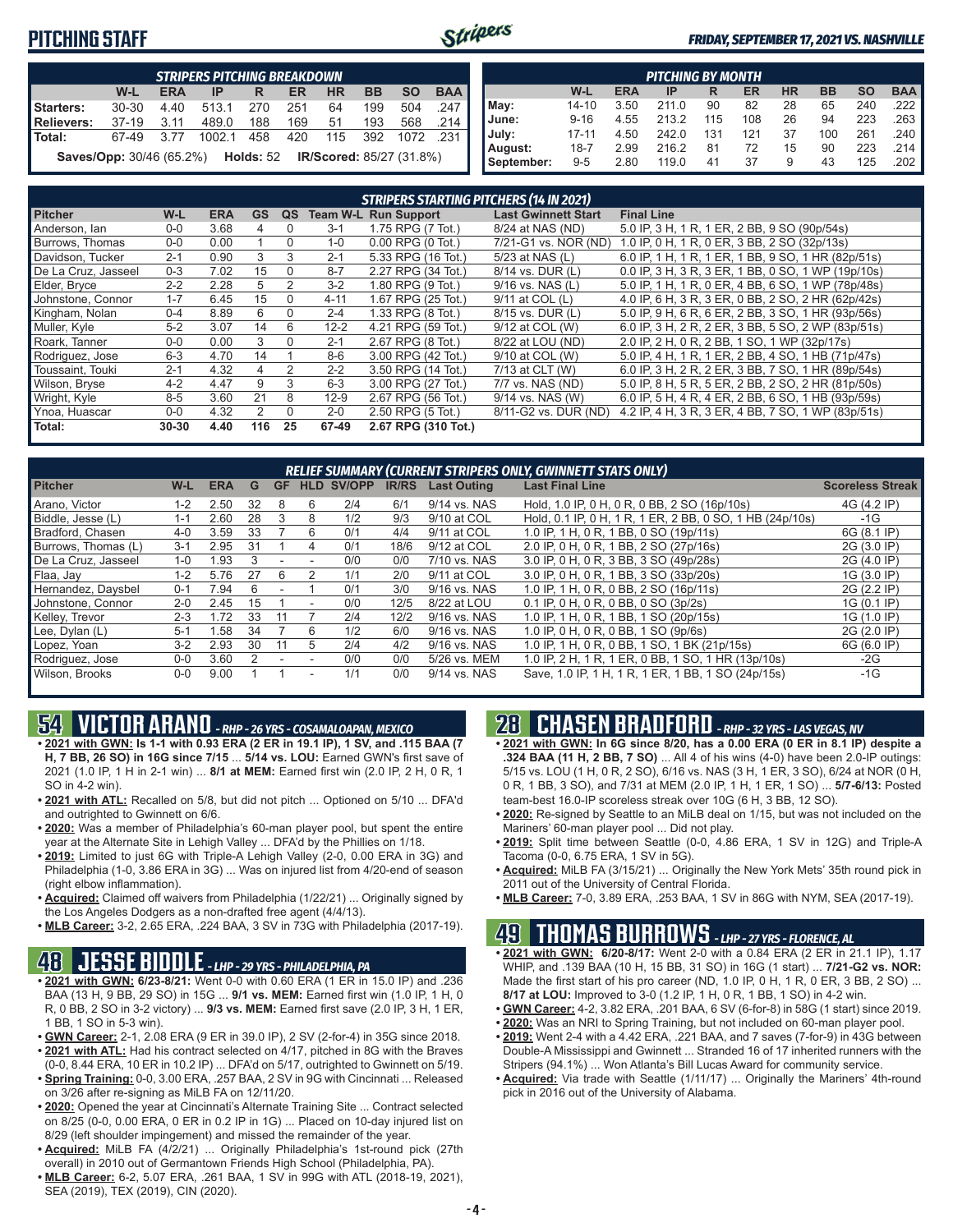### **PITCHING STAFF**



#### *FRIDAY, SEPTEMBER 17, 2021 VS. NASHVILLE*

|                                                                                     | <b>STRIPERS PITCHING BREAKDOWN</b>                                               |      |        |     |     |     |     |      |                       |  |  |  |  |  |
|-------------------------------------------------------------------------------------|----------------------------------------------------------------------------------|------|--------|-----|-----|-----|-----|------|-----------------------|--|--|--|--|--|
|                                                                                     | <b>BAA</b><br><b>SO</b><br><b>BB</b><br>W-L<br>HR<br><b>ERA</b><br>ER<br>IP<br>R |      |        |     |     |     |     |      |                       |  |  |  |  |  |
| Starters:                                                                           | 30-30                                                                            | 4.40 | 513.1  | 270 | 251 | 64  | 199 | 504  | .247                  |  |  |  |  |  |
| Relievers:                                                                          | 37-19                                                                            | 3.11 | 489.0  | 188 | 169 | 51  | 193 | 568  | $.214$ $\blacksquare$ |  |  |  |  |  |
| <b>I</b> Total:                                                                     | 67-49                                                                            | 3.77 | 1002.1 | 458 | 420 | 115 | 392 | 1072 | .231 I                |  |  |  |  |  |
| <b>Saves/Opp:</b> 30/46 (65.2%) <b>Holds:</b> 52<br><b>IR/Scored: 85/27 (31.8%)</b> |                                                                                  |      |        |     |     |     |     |      |                       |  |  |  |  |  |

|            | <b>PITCHING BY MONTH</b>                                                                |      |       |     |     |    |     |     |                       |  |  |  |  |  |
|------------|-----------------------------------------------------------------------------------------|------|-------|-----|-----|----|-----|-----|-----------------------|--|--|--|--|--|
|            | <b>BAA</b><br><b>SO</b><br><b>HR</b><br><b>BB</b><br>W-L<br><b>ERA</b><br>ER<br>IP<br>R |      |       |     |     |    |     |     |                       |  |  |  |  |  |
| May:       | $14 - 10$                                                                               | 3.50 | 211.0 | 90  | 82  | 28 | 65  | 240 | $.222$ $\blacksquare$ |  |  |  |  |  |
| June:      | $9 - 16$                                                                                | 4.55 | 213.2 | 115 | 108 | 26 | 94  | 223 | $.263$ $\blacksquare$ |  |  |  |  |  |
| July:      | $17 - 11$                                                                               | 4.50 | 242.0 | 131 | 121 | 37 | 100 | 261 | .240                  |  |  |  |  |  |
| August:    | $18 - 7$                                                                                | 2.99 | 216.2 | 81  | 72  | 15 | 90  | 223 | .214 I                |  |  |  |  |  |
| September: | $9 - 5$                                                                                 | 2.80 | 119.0 | 41  | 37  | 9  | 43  | 125 | .202                  |  |  |  |  |  |

|                     |           |            |           |          |          | STRIPERS STARTING PITCHERS (14 IN 2021) |                            |                                                    |
|---------------------|-----------|------------|-----------|----------|----------|-----------------------------------------|----------------------------|----------------------------------------------------|
| <b>Pitcher</b>      | $W-L$     | <b>ERA</b> | <b>GS</b> | QS       |          | <b>Team W-L Run Support</b>             | <b>Last Gwinnett Start</b> | <b>Final Line</b>                                  |
| Anderson, lan       | $0 - 0$   | 3.68       | 4         | 0        | $3 - 1$  | 1.75 RPG (7 Tot.)                       | 8/24 at NAS (ND)           | 5.0 IP, 3 H, 1 R, 1 ER, 2 BB, 9 SO (90p/54s)       |
| Burrows, Thomas     | $0 - 0$   | 0.00       |           | $\Omega$ | $1 - 0$  | $0.00$ RPG $(0$ Tot.)                   | 7/21-G1 vs. NOR (ND)       | 1.0 IP, 0 H, 1 R, 0 ER, 3 BB, 2 SO (32p/13s)       |
| Davidson, Tucker    | $2 - 1$   | 0.90       | 3         | 3        | $2 - 1$  | 5.33 RPG (16 Tot.)                      | 5/23 at NAS (L)            | 6.0 IP, 1 H, 1 R, 1 ER, 1 BB, 9 SO, 1 HR (82p/51s) |
| De La Cruz. Jasseel | $0 - 3$   | 7.02       | 15        | $\Omega$ | $8 - 7$  | 2.27 RPG (34 Tot.)                      | 8/14 vs. DUR (L)           | 0.0 IP, 3 H, 3 R, 3 ER, 1 BB, 0 SO, 1 WP (19p/10s) |
| Elder, Bryce        | $2 - 2$   | 2.28       | 5         | 2        | $3 - 2$  | 1.80 RPG (9 Tot.)                       | 9/16 vs. NAS (L)           | 5.0 IP, 1 H, 1 R, 0 ER, 4 BB, 6 SO, 1 WP (78p/48s) |
| Johnstone, Connor   | $1 - 7$   | 6.45       | 15        | $\Omega$ | $4 - 11$ | 1.67 RPG (25 Tot.)                      | 9/11 at COL (L)            | 4.0 IP, 6 H, 3 R, 3 ER, 0 BB, 2 SO, 2 HR (62p/42s) |
| Kingham, Nolan      | $0 - 4$   | 8.89       | 6         | $\Omega$ | $2 - 4$  | 1.33 RPG (8 Tot.)                       | 8/15 vs. DUR (L)           | 5.0 IP, 9 H, 6 R, 6 ER, 2 BB, 3 SO, 1 HR (93p/56s) |
| Muller, Kyle        | $5 - 2$   | 3.07       | 14        | 6        | $12 - 2$ | 4.21 RPG (59 Tot.)                      | 9/12 at COL (W)            | 6.0 IP, 3 H, 2 R, 2 ER, 3 BB, 5 SO, 2 WP (83p/51s) |
| Roark, Tanner       | $0-0$     | 0.00       | 3         | $\Omega$ | $2 - 1$  | 2.67 RPG (8 Tot.)                       | 8/22 at LOU (ND)           | 2.0 IP, 2 H, 0 R, 2 BB, 1 SO, 1 WP (32p/17s)       |
| Rodriguez, Jose     | $6 - 3$   | 4.70       | 14        |          | $8 - 6$  | 3.00 RPG (42 Tot.)                      | 9/10 at COL (W)            | 5.0 IP, 4 H, 1 R, 1 ER, 2 BB, 4 SO, 1 HB (71p/47s) |
| Toussaint. Touki    | $2 - 1$   | 4.32       | $\Delta$  | 2        | $2 - 2$  | 3.50 RPG (14 Tot.)                      | 7/13 at CLT (W)            | 6.0 IP, 3 H, 2 R, 2 ER, 3 BB, 7 SO, 1 HR (89p/54s) |
| Wilson, Bryse       | $4 - 2$   | 4.47       | 9         | 3        | $6 - 3$  | 3.00 RPG (27 Tot.)                      | 7/7 vs. NAS (ND)           | 5.0 IP, 8 H, 5 R, 5 ER, 2 BB, 2 SO, 2 HR (81p/50s) |
| Wright, Kyle        | $8 - 5$   | 3.60       | 21        | 8        | $12-9$   | 2.67 RPG (56 Tot.)                      | 9/14 vs. NAS (W)           | 6.0 IP, 5 H, 4 R, 4 ER, 2 BB, 6 SO, 1 HB (93p/59s) |
| Ynoa, Huascar       | $0-0$     | 4.32       | 2         | $\Omega$ | $2 - 0$  | 2.50 RPG (5 Tot.)                       | 8/11-G2 vs. DUR (ND)       | 4.2 IP, 4 H, 3 R, 3 ER, 4 BB, 7 SO, 1 WP (83p/51s) |
| Total:              | $30 - 30$ | 4.40       | 116       | 25       | 67-49    | 2.67 RPG (310 Tot.)                     |                            |                                                    |

|                     |         |            |    |           |                          |                   |              |                    | <b>RELIEF SUMMARY (CURRENT STRIPERS ONLY, GWINNETT STATS ONLY)</b> |                         |
|---------------------|---------|------------|----|-----------|--------------------------|-------------------|--------------|--------------------|--------------------------------------------------------------------|-------------------------|
| <b>Pitcher</b>      | W-L     | <b>ERA</b> | G  | <b>GF</b> |                          | <b>HLD SV/OPP</b> | <b>IR/RS</b> | <b>Last Outing</b> | <b>Last Final Line</b>                                             | <b>Scoreless Streak</b> |
| Arano, Victor       | $1 - 2$ | 2.50       | 32 | 8         | 6                        | 2/4               | 6/1          | 9/14 vs. NAS       | Hold, 1.0 IP, 0 H, 0 R, 0 BB, 2 SO (16p/10s)                       | 4G (4.2 IP)             |
| Biddle, Jesse (L)   | $1 - 1$ | 2.60       | 28 | 3         | 8                        | 1/2               | 9/3          | 9/10 at COL        | Hold, 0.1 IP, 0 H, 1 R, 1 ER, 2 BB, 0 SO, 1 HB (24p/10s)           | -1G                     |
| Bradford, Chasen    | $4 - 0$ | 3.59       | 33 |           | 6                        | 0/1               | 4/4          | 9/11 at COL        | 1.0 IP, 1 H, 0 R, 1 BB, 0 SO (19p/11s)                             | 6G (8.1 IP)             |
| Burrows. Thomas (L) | $3-1$   | 2.95       | 31 |           | 4                        | 0/1               | 18/6         | 9/12 at COL        | 2.0 IP, 0 H, 0 R, 1 BB, 2 SO (27p/16s)                             | 2G (3.0 IP)             |
| De La Cruz. Jasseel | $1 - 0$ | 1.93       |    |           |                          | 0/0               | 0/0          | 7/10 vs. NAS       | 3.0 IP, 0 H, 0 R, 3 BB, 3 SO (49p/28s)                             | 2G (4.0 IP)             |
| Flaa, Jay           | $1 - 2$ | 5.76       | 27 | 6         |                          | 1/1               | 2/0          | 9/11 at COL        | 3.0 IP. 0 H. 0 R. 1 BB. 3 SO (33p/20s)                             | 1G (3.0 IP)             |
| Hernandez, Daysbel  | $0 - 1$ | 7.94       | 6  |           |                          | 0/1               | 3/0          | 9/16 vs. NAS       | 1.0 IP, 1 H, 0 R, 0 BB, 2 SO (16p/11s)                             | 2G (2.2 IP)             |
| Johnstone, Connor   | $2 - 0$ | 2.45       | 15 |           |                          | 0/0               | 12/5         | 8/22 at LOU        | $0.1$ IP, 0 H, 0 R, 0 BB, 0 SO (3p/2s)                             | 1G (0.1 IP)             |
| Kelley, Trevor      | $2 - 3$ | 1.72       | 33 |           |                          | 2/4               | 12/2         | 9/16 vs. NAS       | 1.0 IP, 1 H, 0 R, 1 BB, 1 SO (20p/15s)                             | 1G (1.0 IP)             |
| Lee, Dylan (L)      | $5-1$   | 1.58       | 34 |           | 6                        | 1/2               | 6/0          | 9/16 vs. NAS       | 1.0 IP, 0 H, 0 R, 0 BB, 1 SO (9p/6s)                               | 2G (2.0 IP)             |
| Lopez, Yoan         | $3-2$   | 2.93       | 30 | 11        | 5                        | 2/4               | 4/2          | 9/16 vs. NAS       | 1.0 IP, 1 H, 0 R, 0 BB, 1 SO, 1 BK (21p/15s)                       | 6G (6.0 IP)             |
| Rodriguez, Jose     | $0 - 0$ | 3.60       |    |           |                          | 0/0               | 0/0          | 5/26 vs. MEM       | 1.0 IP, 2 H, 1 R, 1 ER, 0 BB, 1 SO, 1 HR (13p/10s)                 | $-2G$                   |
| Wilson, Brooks      | $0 - 0$ | 9.00       |    |           | $\overline{\phantom{a}}$ | 1/1               | 0/0          | 9/14 vs. NAS       | Save, 1.0 IP, 1 H, 1 R, 1 ER, 1 BB, 1 SO (24p/15s)                 | $-1G$                   |

# **54 VICTOR ARANO** *- RHP - 26 YRS - COSAMALOAPAN, MEXICO*

- **• 2021 with GWN: Is 1-1 with 0.93 ERA (2 ER in 19.1 IP), 1 SV, and .115 BAA (7 H, 7 BB, 26 SO) in 16G since 7/15** ... **5/14 vs. LOU:** Earned GWN's first save of 2021 (1.0 IP, 1 H in 2-1 win) ... **8/1 at MEM:** Earned first win (2.0 IP, 2 H, 0 R, 1 SO in 4-2 win).
- **• 2021 with ATL:** Recalled on 5/8, but did not pitch ... Optioned on 5/10 ... DFA'd and outrighted to Gwinnett on 6/6.
- **• 2020:** Was a member of Philadelphia's 60-man player pool, but spent the entire year at the Alternate Site in Lehigh Valley ... DFA'd by the Phillies on 1/18.
- **• 2019:** Limited to just 6G with Triple-A Lehigh Valley (2-0, 0.00 ERA in 3G) and Philadelphia (1-0, 3.86 ERA in 3G) ... Was on injured list from 4/20-end of season (right elbow inflammation).
- **• Acquired:** Claimed off waivers from Philadelphia (1/22/21) ... Originally signed by the Los Angeles Dodgers as a non-drafted free agent (4/4/13).
- **• MLB Career:** 3-2, 2.65 ERA, .224 BAA, 3 SV in 73G with Philadelphia (2017-19).

### **48 JESSE BIDDLE** *- LHP - 29 YRS - PHILADELPHIA, PA*

- **• 2021 with GWN: 6/23-8/21:** Went 0-0 with 0.60 ERA (1 ER in 15.0 IP) and .236 BAA (13 H, 9 BB, 29 SO) in 15G ... **9/1 vs. MEM:** Earned first win (1.0 IP, 1 H, 0 R, 0 BB, 2 SO in 3-2 victory) ... **9/3 vs. MEM:** Earned first save (2.0 IP, 3 H, 1 ER, 1 BB, 1 SO in 5-3 win).
- **• GWN Career:** 2-1, 2.08 ERA (9 ER in 39.0 IP), 2 SV (2-for-4) in 35G since 2018. **• 2021 with ATL:** Had his contract selected on 4/17, pitched in 8G with the Braves
- (0-0, 8.44 ERA, 10 ER in 10.2 IP) ... DFA'd on 5/17, outrighted to Gwinnett on 5/19. **• Spring Training:** 0-0, 3.00 ERA, .257 BAA, 2 SV in 9G with Cincinnati ... Released on 3/26 after re-signing as MiLB FA on 12/11/20.
- **• 2020:** Opened the year at Cincinnati's Alternate Training Site ... Contract selected on 8/25 (0-0, 0.00 ERA, 0 ER in 0.2 IP in 1G) ... Placed on 10-day injured list on 8/29 (left shoulder impingement) and missed the remainder of the year.
- **• Acquired:** MiLB FA (4/2/21) ... Originally Philadelphia's 1st-round pick (27th overall) in 2010 out of Germantown Friends High School (Philadelphia, PA).
- **• MLB Career:** 6-2, 5.07 ERA, .261 BAA, 1 SV in 99G with ATL (2018-19, 2021), SEA (2019), TEX (2019), CIN (2020).

### **28 CHASEN BRADFORD** *- RHP - 32 YRS - LAS VEGAS, NV*

- **• 2021 with GWN: In 6G since 8/20, has a 0.00 ERA (0 ER in 8.1 IP) despite a .324 BAA (11 H, 2 BB, 7 SO)** ... All 4 of his wins (4-0) have been 2.0-IP outings: 5/15 vs. LOU (1 H, 0 R, 2 SO), 6/16 vs. NAS (3 H, 1 ER, 3 SO), 6/24 at NOR (0 H, 0 R, 1 BB, 3 SO), and 7/31 at MEM (2.0 IP, 1 H, 1 ER, 1 SO) ... **5/7-6/13:** Posted team-best 16.0-IP scoreless streak over 10G (6 H, 3 BB, 12 SO).
- **• 2020:** Re-signed by Seattle to an MiLB deal on 1/15, but was not included on the Mariners' 60-man player pool ... Did not play.
- **• 2019:** Split time between Seattle (0-0, 4.86 ERA, 1 SV in 12G) and Triple-A Tacoma (0-0, 6.75 ERA, 1 SV in 5G).
- **• Acquired:** MiLB FA (3/15/21) ... Originally the New York Mets' 35th round pick in 2011 out of the University of Central Florida.
- **• MLB Career:** 7-0, 3.89 ERA, .253 BAA, 1 SV in 86G with NYM, SEA (2017-19).

### **49 THOMAS BURROWS** *- LHP - 27 YRS - FLORENCE, AL*

- **• 2021 with GWN: 6/20-8/17:** Went 2-0 with a 0.84 ERA (2 ER in 21.1 IP), 1.17 WHIP, and .139 BAA (10 H, 15 BB, 31 SO) in 16G (1 start) ... **7/21-G2 vs. NOR:** Made the first start of his pro career (ND, 1.0 IP, 0 H, 1 R, 0 ER, 3 BB, 2 SO) .. **8/17 at LOU:** Improved to 3-0 (1.2 IP, 1 H, 0 R, 1 BB, 1 SO) in 4-2 win.
- **• GWN Career:** 4-2, 3.82 ERA, .201 BAA, 6 SV (6-for-8) in 58G (1 start) since 2019.
- **• 2020:** Was an NRI to Spring Training, but not included on 60-man player pool.
- **• 2019:** Went 2-4 with a 4.42 ERA, .221 BAA, and 7 saves (7-for-9) in 43G between Double-A Mississippi and Gwinnett ... Stranded 16 of 17 inherited runners with the Stripers (94.1%) ... Won Atlanta's Bill Lucas Award for community service.
- **• Acquired:** Via trade with Seattle (1/11/17) ... Originally the Mariners' 4th-round pick in 2016 out of the University of Alabama.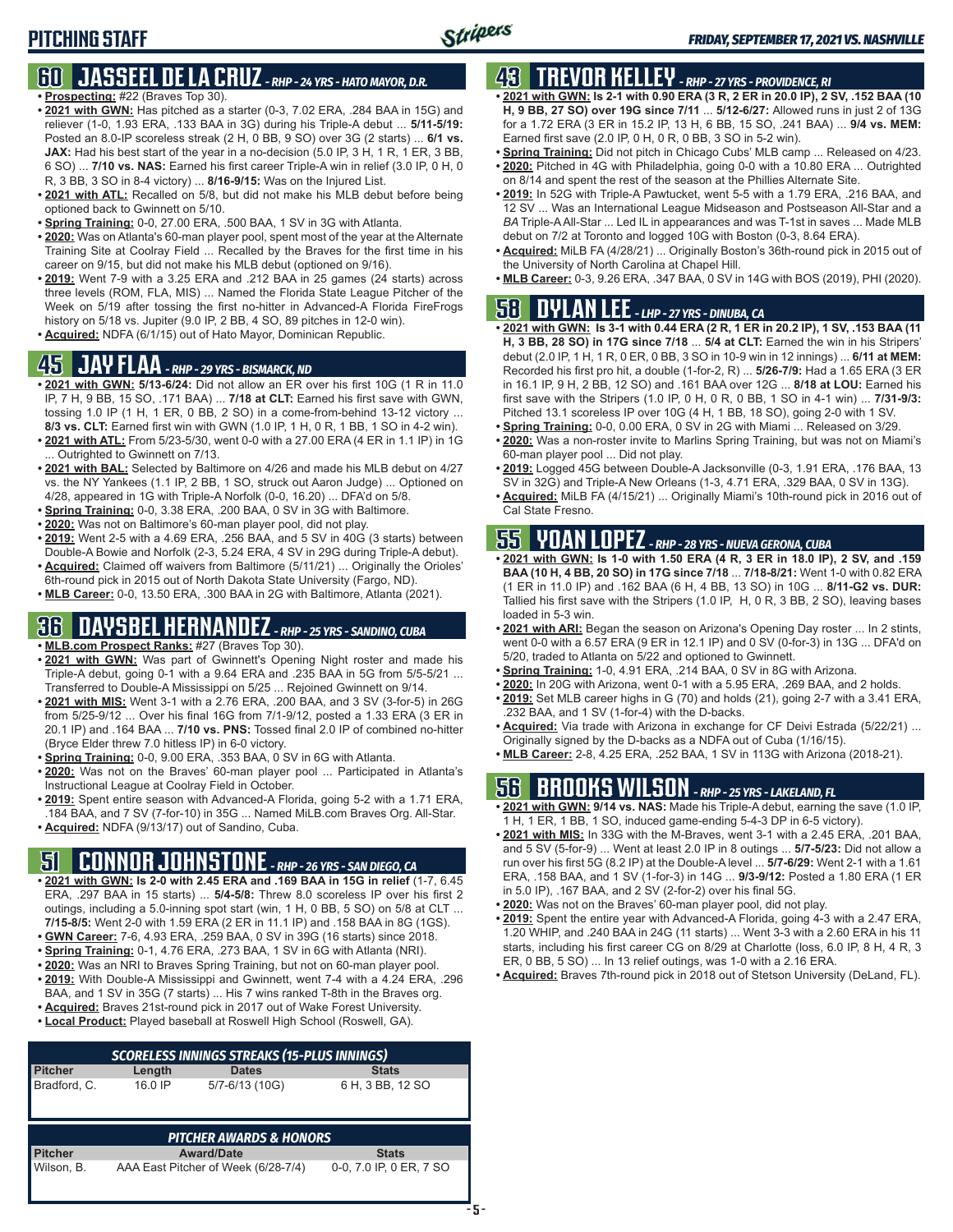#### **60 JASSEEL DE LA CRUZ** *- RHP - 24 YRS - HATO MAYOR, D.R.* **• Prospecting:** #22 (Braves Top 30).

- **• 2021 with GWN:** Has pitched as a starter (0-3, 7.02 ERA, .284 BAA in 15G) and reliever (1-0, 1.93 ERA, .133 BAA in 3G) during his Triple-A debut ... **5/11-5/19:** Posted an 8.0-IP scoreless streak (2 H, 0 BB, 9 SO) over 3G (2 starts) ... **6/1 vs. JAX:** Had his best start of the year in a no-decision (5.0 IP, 3 H, 1 R, 1 ER, 3 BB, 6 SO) ... **7/10 vs. NAS:** Earned his first career Triple-A win in relief (3.0 IP, 0 H, 0 R, 3 BB, 3 SO in 8-4 victory) ... **8/16-9/15:** Was on the Injured List.
- **• 2021 with ATL:** Recalled on 5/8, but did not make his MLB debut before being optioned back to Gwinnett on 5/10.
- **• Spring Training:** 0-0, 27.00 ERA, .500 BAA, 1 SV in 3G with Atlanta.
- **• 2020:** Was on Atlanta's 60-man player pool, spent most of the year at the Alternate Training Site at Coolray Field ... Recalled by the Braves for the first time in his career on 9/15, but did not make his MLB debut (optioned on 9/16).
- **• 2019:** Went 7-9 with a 3.25 ERA and .212 BAA in 25 games (24 starts) across three levels (ROM, FLA, MIS) ... Named the Florida State League Pitcher of the Week on 5/19 after tossing the first no-hitter in Advanced-A Florida FireFrogs history on 5/18 vs. Jupiter (9.0 IP, 2 BB, 4 SO, 89 pitches in 12-0 win).
- **• Acquired:** NDFA (6/1/15) out of Hato Mayor, Dominican Republic.

#### **45 JAY FLAA** *- RHP - 29 YRS - BISMARCK, ND*

- **• 2021 with GWN: 5/13-6/24:** Did not allow an ER over his first 10G (1 R in 11.0 IP, 7 H, 9 BB, 15 SO, .171 BAA) ... **7/18 at CLT:** Earned his first save with GWN, tossing 1.0 IP (1 H, 1 ER, 0 BB, 2 SO) in a come-from-behind 13-12 victory ... **8/3 vs. CLT:** Earned first win with GWN (1.0 IP, 1 H, 0 R, 1 BB, 1 SO in 4-2 win).
- **• 2021 with ATL:** From 5/23-5/30, went 0-0 with a 27.00 ERA (4 ER in 1.1 IP) in 1G ... Outrighted to Gwinnett on 7/13.
- **• 2021 with BAL:** Selected by Baltimore on 4/26 and made his MLB debut on 4/27 vs. the NY Yankees (1.1 IP, 2 BB, 1 SO, struck out Aaron Judge) ... Optioned on 4/28, appeared in 1G with Triple-A Norfolk (0-0, 16.20) ... DFA'd on 5/8.
- **• Spring Training:** 0-0, 3.38 ERA, .200 BAA, 0 SV in 3G with Baltimore.
- **• 2020:** Was not on Baltimore's 60-man player pool, did not play.
- **• 2019:** Went 2-5 with a 4.69 ERA, .256 BAA, and 5 SV in 40G (3 starts) between Double-A Bowie and Norfolk (2-3, 5.24 ERA, 4 SV in 29G during Triple-A debut).
- **• Acquired:** Claimed off waivers from Baltimore (5/11/21) ... Originally the Orioles' 6th-round pick in 2015 out of North Dakota State University (Fargo, ND).
- **• MLB Career:** 0-0, 13.50 ERA, .300 BAA in 2G with Baltimore, Atlanta (2021).

### **36 DAYSBEL HERNANDEZ** *- RHP - 25 YRS - SANDINO, CUBA*

- **• MLB.com Prospect Ranks:** #27 (Braves Top 30).
- **• 2021 with GWN:** Was part of Gwinnett's Opening Night roster and made his Triple-A debut, going 0-1 with a 9.64 ERA and .235 BAA in 5G from 5/5-5/21 ... Transferred to Double-A Mississippi on 5/25 ... Rejoined Gwinnett on 9/14.
- **• 2021 with MIS:** Went 3-1 with a 2.76 ERA, .200 BAA, and 3 SV (3-for-5) in 26G from 5/25-9/12 ... Over his final 16G from 7/1-9/12, posted a 1.33 ERA (3 ER in 20.1 IP) and .164 BAA ... **7/10 vs. PNS:** Tossed final 2.0 IP of combined no-hitter (Bryce Elder threw 7.0 hitless IP) in 6-0 victory.
- **• Spring Training:** 0-0, 9.00 ERA, .353 BAA, 0 SV in 6G with Atlanta.
- **• 2020:** Was not on the Braves' 60-man player pool ... Participated in Atlanta's Instructional League at Coolray Field in October.
- **• 2019:** Spent entire season with Advanced-A Florida, going 5-2 with a 1.71 ERA, .184 BAA, and 7 SV (7-for-10) in 35G ... Named MiLB.com Braves Org. All-Star.
- **• Acquired:** NDFA (9/13/17) out of Sandino, Cuba.

### **51 CONNOR JOHNSTONE** *- RHP - 26 YRS - SAN DIEGO, CA*

- **• 2021 with GWN: Is 2-0 with 2.45 ERA and .169 BAA in 15G in relief** (1-7, 6.45 ERA, .297 BAA in 15 starts) ... **5/4-5/8:** Threw 8.0 scoreless IP over his first 2 outings, including a 5.0-inning spot start (win, 1 H, 0 BB, 5 SO) on 5/8 at CLT ... **7/15-8/5:** Went 2-0 with 1.59 ERA (2 ER in 11.1 IP) and .158 BAA in 8G (1GS).
- **• GWN Career:** 7-6, 4.93 ERA, .259 BAA, 0 SV in 39G (16 starts) since 2018.
- **• Spring Training:** 0-1, 4.76 ERA, .273 BAA, 1 SV in 6G with Atlanta (NRI).
- **• 2020:** Was an NRI to Braves Spring Training, but not on 60-man player pool.
- **• 2019:** With Double-A Mississippi and Gwinnett, went 7-4 with a 4.24 ERA, .296 BAA, and 1 SV in 35G (7 starts) ... His 7 wins ranked T-8th in the Braves org.
- **• Acquired:** Braves 21st-round pick in 2017 out of Wake Forest University.
- **• Local Product:** Played baseball at Roswell High School (Roswell, GA).

|                |         | <b>SCORELESS INNINGS STREAKS (15-PLUS INNINGS)</b> |                         |
|----------------|---------|----------------------------------------------------|-------------------------|
| <b>Pitcher</b> | Length  | <b>Dates</b>                                       | <b>Stats</b>            |
| Bradford, C.   | 16.0 IP | 5/7-6/13 (10G)                                     | 6 H, 3 BB, 12 SO        |
|                |         | <b>PITCHER AWARDS &amp; HONORS</b>                 |                         |
| <b>Pitcher</b> |         | <b>Award/Date</b>                                  | <b>Stats</b>            |
| Wilson, B.     |         | AAA East Pitcher of Week (6/28-7/4)                | 0-0, 7.0 IP, 0 ER, 7 SO |

## **43 TREVOR KELLEY** *- RHP - 27 YRS - PROVIDENCE, RI*

- **• 2021 with GWN: Is 2-1 with 0.90 ERA (3 R, 2 ER in 20.0 IP), 2 SV, .152 BAA (10 H, 9 BB, 27 SO) over 19G since 7/11** ... **5/12-6/27:** Allowed runs in just 2 of 13G for a 1.72 ERA (3 ER in 15.2 IP, 13 H, 6 BB, 15 SO, .241 BAA) ... **9/4 vs. MEM:** Earned first save (2.0 IP, 0 H, 0 R, 0 BB, 3 SO in 5-2 win).
- **• Spring Training:** Did not pitch in Chicago Cubs' MLB camp ... Released on 4/23.
- **• 2020:** Pitched in 4G with Philadelphia, going 0-0 with a 10.80 ERA ... Outrighted on 8/14 and spent the rest of the season at the Phillies Alternate Site.
- **• 2019:** In 52G with Triple-A Pawtucket, went 5-5 with a 1.79 ERA, .216 BAA, and 12 SV ... Was an International League Midseason and Postseason All-Star and a *BA* Triple-A All-Star ... Led IL in appearances and was T-1st in saves ... Made MLB debut on 7/2 at Toronto and logged 10G with Boston (0-3, 8.64 ERA).
- **• Acquired:** MiLB FA (4/28/21) ... Originally Boston's 36th-round pick in 2015 out of the University of North Carolina at Chapel Hill.
- **• MLB Career:** 0-3, 9.26 ERA, .347 BAA, 0 SV in 14G with BOS (2019), PHI (2020).

### **58 DYLAN LEE** *- LHP - 27 YRS - DINUBA, CA*

- **• 2021 with GWN: Is 3-1 with 0.44 ERA (2 R, 1 ER in 20.2 IP), 1 SV, .153 BAA (11 H, 3 BB, 28 SO) in 17G since 7/18** ... **5/4 at CLT:** Earned the win in his Stripers' debut (2.0 IP, 1 H, 1 R, 0 ER, 0 BB, 3 SO in 10-9 win in 12 innings) ... **6/11 at MEM:** Recorded his first pro hit, a double (1-for-2, R) ... **5/26-7/9:** Had a 1.65 ERA (3 ER in 16.1 IP, 9 H, 2 BB, 12 SO) and .161 BAA over 12G ... **8/18 at LOU:** Earned his first save with the Stripers (1.0 IP, 0 H, 0 R, 0 BB, 1 SO in 4-1 win) ... **7/31-9/3:** Pitched 13.1 scoreless IP over 10G (4 H, 1 BB, 18 SO), going 2-0 with 1 SV.
- **• Spring Training:** 0-0, 0.00 ERA, 0 SV in 2G with Miami ... Released on 3/29.
- **• 2020:** Was a non-roster invite to Marlins Spring Training, but was not on Miami's 60-man player pool ... Did not play.
- **• 2019:** Logged 45G between Double-A Jacksonville (0-3, 1.91 ERA, .176 BAA, 13 SV in 32G) and Triple-A New Orleans (1-3, 4.71 ERA, .329 BAA, 0 SV in 13G).
- **• Acquired:** MiLB FA (4/15/21) ... Originally Miami's 10th-round pick in 2016 out of Cal State Fresno.

## **55 YOAN LOPEZ** *- RHP - 28 YRS - NUEVA GERONA, CUBA*

- **• 2021 with GWN: Is 1-0 with 1.50 ERA (4 R, 3 ER in 18.0 IP), 2 SV, and .159 BAA (10 H, 4 BB, 20 SO) in 17G since 7/18** ... **7/18-8/21:** Went 1-0 with 0.82 ERA (1 ER in 11.0 IP) and .162 BAA (6 H, 4 BB, 13 SO) in 10G ... **8/11-G2 vs. DUR:** Tallied his first save with the Stripers (1.0 IP, H, 0 R, 3 BB, 2 SO), leaving bases loaded in 5-3 win.
- **• 2021 with ARI:** Began the season on Arizona's Opening Day roster ... In 2 stints, went 0-0 with a 6.57 ERA (9 ER in 12.1 IP) and 0 SV (0-for-3) in 13G ... DFA'd on 5/20, traded to Atlanta on 5/22 and optioned to Gwinnett.
- **• Spring Training:** 1-0, 4.91 ERA, .214 BAA, 0 SV in 8G with Arizona.
- **• 2020:** In 20G with Arizona, went 0-1 with a 5.95 ERA, .269 BAA, and 2 holds.
- **• 2019:** Set MLB career highs in G (70) and holds (21), going 2-7 with a 3.41 ERA, .232 BAA, and 1 SV (1-for-4) with the D-backs.
- **• Acquired:** Via trade with Arizona in exchange for CF Deivi Estrada (5/22/21) ... Originally signed by the D-backs as a NDFA out of Cuba (1/16/15).
- **• MLB Career:** 2-8, 4.25 ERA, .252 BAA, 1 SV in 113G with Arizona (2018-21).

### **56 BROOKS WILSON** *- RHP - 25 YRS - LAKELAND, FL*

- **• 2021 with GWN: 9/14 vs. NAS:** Made his Triple-A debut, earning the save (1.0 IP, 1 H, 1 ER, 1 BB, 1 SO, induced game-ending 5-4-3 DP in 6-5 victory).
- **• 2021 with MIS:** In 33G with the M-Braves, went 3-1 with a 2.45 ERA, .201 BAA, and 5 SV (5-for-9) ... Went at least 2.0 IP in 8 outings ... **5/7-5/23:** Did not allow a run over his first 5G (8.2 IP) at the Double-A level ... **5/7-6/29:** Went 2-1 with a 1.61 ERA, .158 BAA, and 1 SV (1-for-3) in 14G ... **9/3-9/12:** Posted a 1.80 ERA (1 ER in 5.0 IP), .167 BAA, and 2 SV (2-for-2) over his final 5G.
- **• 2020:** Was not on the Braves' 60-man player pool, did not play.
- **• 2019:** Spent the entire year with Advanced-A Florida, going 4-3 with a 2.47 ERA, 1.20 WHIP, and .240 BAA in 24G (11 starts) ... Went 3-3 with a 2.60 ERA in his 11 starts, including his first career CG on 8/29 at Charlotte (loss, 6.0 IP, 8 H, 4 R, 3 ER, 0 BB, 5 SO) ... In 13 relief outings, was 1-0 with a 2.16 ERA.
- **• Acquired:** Braves 7th-round pick in 2018 out of Stetson University (DeLand, FL).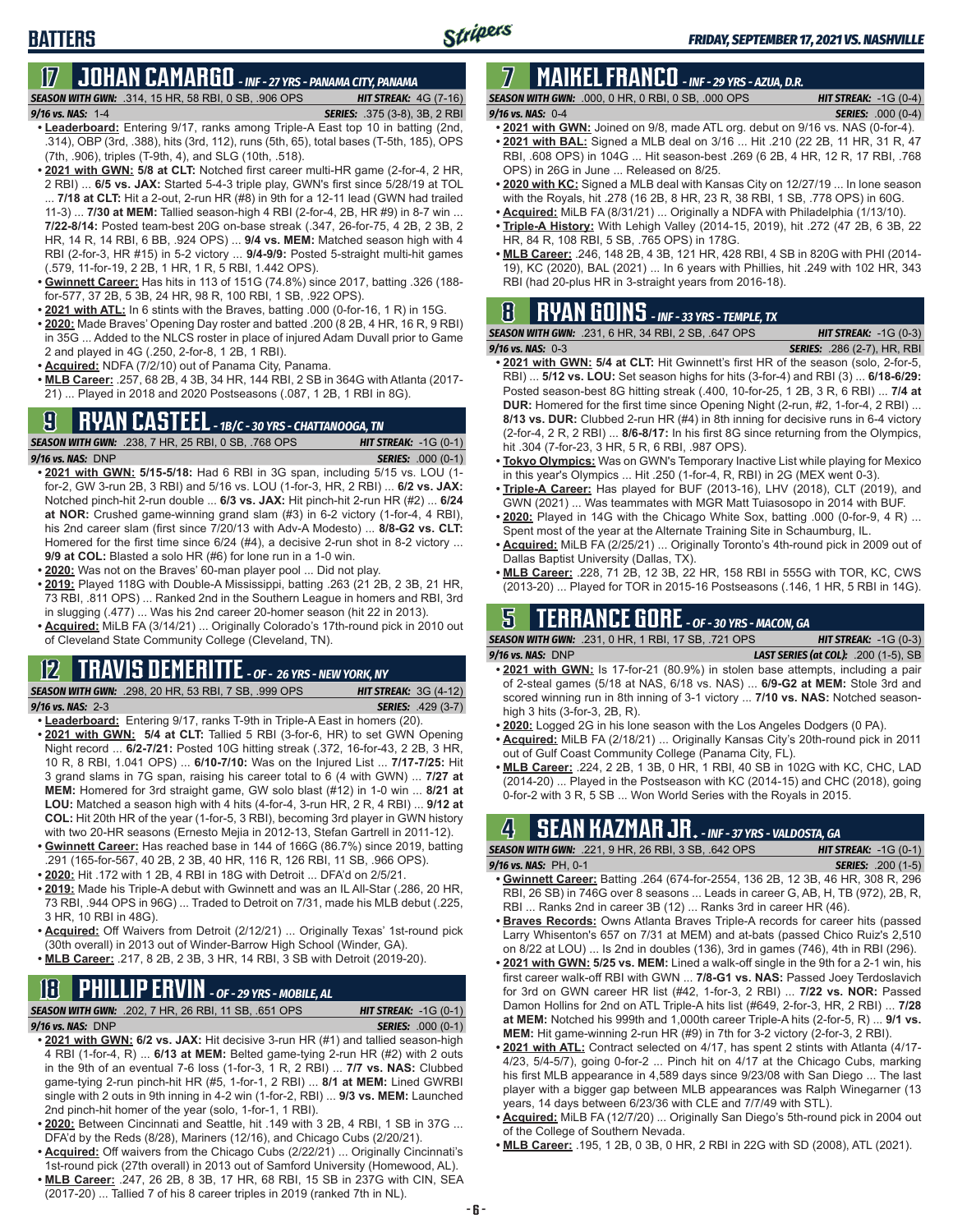### **BATTERS**

# **17 JOHAN CAMARGO** *- INF - 27 YRS - PANAMA CITY, PANAMA*

*SEASON WITH GWN:*.314, 15 HR, 58 RBI, 0 SB, .906 OPS *HIT STREAK:* 4G (7-16)

- *9/16 vs. NAS:* 1-4 *SERIES:* .375 (3-8), 3B, 2 RBI **• Leaderboard:** Entering 9/17, ranks among Triple-A East top 10 in batting (2nd, .314), OBP (3rd, .388), hits (3rd, 112), runs (5th, 65), total bases (T-5th, 185), OPS (7th, .906), triples (T-9th, 4), and SLG (10th, .518).
- **• 2021 with GWN: 5/8 at CLT:** Notched first career multi-HR game (2-for-4, 2 HR, 2 RBI) ... **6/5 vs. JAX:** Started 5-4-3 triple play, GWN's first since 5/28/19 at TOL ... **7/18 at CLT:** Hit a 2-out, 2-run HR (#8) in 9th for a 12-11 lead (GWN had trailed 11-3) ... **7/30 at MEM:** Tallied season-high 4 RBI (2-for-4, 2B, HR #9) in 8-7 win ... **7/22-8/14:** Posted team-best 20G on-base streak (.347, 26-for-75, 4 2B, 2 3B, 2 HR, 14 R, 14 RBI, 6 BB, .924 OPS) ... **9/4 vs. MEM:** Matched season high with 4 RBI (2-for-3, HR #15) in 5-2 victory ... **9/4-9/9:** Posted 5-straight multi-hit games (.579, 11-for-19, 2 2B, 1 HR, 1 R, 5 RBI, 1.442 OPS).
- **• Gwinnett Career:** Has hits in 113 of 151G (74.8%) since 2017, batting .326 (188 for-577, 37 2B, 5 3B, 24 HR, 98 R, 100 RBI, 1 SB, .922 OPS).
- **• 2021 with ATL:** In 6 stints with the Braves, batting .000 (0-for-16, 1 R) in 15G.
- **• 2020:** Made Braves' Opening Day roster and batted .200 (8 2B, 4 HR, 16 R, 9 RBI) in 35G ... Added to the NLCS roster in place of injured Adam Duvall prior to Game 2 and played in 4G (.250, 2-for-8, 1 2B, 1 RBI).
- **• Acquired:** NDFA (7/2/10) out of Panama City, Panama.
- **• MLB Career:** .257, 68 2B, 4 3B, 34 HR, 144 RBI, 2 SB in 364G with Atlanta (2017- 21) ... Played in 2018 and 2020 Postseasons (.087, 1 2B, 1 RBI in 8G).

### **9 RYAN CASTEEL** *- 1B/C - 30 YRS - CHATTANOOGA, TN*

*SEASON WITH GWN:*.238, 7 HR, 25 RBI, 0 SB, .768 OPS *HIT STREAK:* -1G (0-1) *9/16 vs. NAS:*DNP *SERIES:* .000 (0-1)

- **• 2021 with GWN: 5/15-5/18:** Had 6 RBI in 3G span, including 5/15 vs. LOU (1 for-2, GW 3-run 2B, 3 RBI) and 5/16 vs. LOU (1-for-3, HR, 2 RBI) ... **6/2 vs. JAX:** Notched pinch-hit 2-run double ... **6/3 vs. JAX:** Hit pinch-hit 2-run HR (#2) ... **6/24 at NOR:** Crushed game-winning grand slam (#3) in 6-2 victory (1-for-4, 4 RBI), his 2nd career slam (first since 7/20/13 with Adv-A Modesto) ... **8/8-G2 vs. CLT:** Homered for the first time since 6/24 (#4), a decisive 2-run shot in 8-2 victory ... **9/9 at COL:** Blasted a solo HR (#6) for lone run in a 1-0 win.
- **• 2020:** Was not on the Braves' 60-man player pool ... Did not play.
- **• 2019:** Played 118G with Double-A Mississippi, batting .263 (21 2B, 2 3B, 21 HR, 73 RBI, .811 OPS) ... Ranked 2nd in the Southern League in homers and RBI, 3rd in slugging (.477) ... Was his 2nd career 20-homer season (hit 22 in 2013).
- **• Acquired:** MiLB FA (3/14/21) ... Originally Colorado's 17th-round pick in 2010 out of Cleveland State Community College (Cleveland, TN).

#### **12 TRAVIS DEMERITTE** *- OF - 26 YRS - NEW YORK, NY*

*SEASON WITH GWN:*.298, 20 HR, 53 RBI, 7 SB, .999 OPS *HIT STREAK:* 3G (4-12) *9/16 vs. NAS:*2-3 *SERIES:* .429 (3-7)

- **• Leaderboard:** Entering 9/17, ranks T-9th in Triple-A East in homers (20).
- **• 2021 with GWN: 5/4 at CLT:** Tallied 5 RBI (3-for-6, HR) to set GWN Opening Night record ... **6/2-7/21:** Posted 10G hitting streak (.372, 16-for-43, 2 2B, 3 HR, 10 R, 8 RBI, 1.041 OPS) ... **6/10-7/10:** Was on the Injured List ... **7/17-7/25:** Hit 3 grand slams in 7G span, raising his career total to 6 (4 with GWN) ... **7/27 at MEM:** Homered for 3rd straight game, GW solo blast (#12) in 1-0 win ... **8/21 at LOU:** Matched a season high with 4 hits (4-for-4, 3-run HR, 2 R, 4 RBI) ... **9/12 at COL:** Hit 20th HR of the year (1-for-5, 3 RBI), becoming 3rd player in GWN history with two 20-HR seasons (Ernesto Mejia in 2012-13, Stefan Gartrell in 2011-12).
- **• Gwinnett Career:** Has reached base in 144 of 166G (86.7%) since 2019, batting .291 (165-for-567, 40 2B, 2 3B, 40 HR, 116 R, 126 RBI, 11 SB, .966 OPS).
- **• 2020:** Hit .172 with 1 2B, 4 RBI in 18G with Detroit ... DFA'd on 2/5/21.
- **• 2019:** Made his Triple-A debut with Gwinnett and was an IL All-Star (.286, 20 HR, 73 RBI, .944 OPS in 96G) ... Traded to Detroit on 7/31, made his MLB debut (.225, 3 HR, 10 RBI in 48G).
- **• Acquired:** Off Waivers from Detroit (2/12/21) ... Originally Texas' 1st-round pick (30th overall) in 2013 out of Winder-Barrow High School (Winder, GA).
- **• MLB Career:** .217, 8 2B, 2 3B, 3 HR, 14 RBI, 3 SB with Detroit (2019-20).

# **18 PHILLIP ERVIN** *- OF - 29 YRS - MOBILE, AL*

*SEASON WITH GWN:*.202, 7 HR, 26 RBI, 11 SB, .651 OPS *HIT STREAK:* -1G (0-1)

#### *9/16 vs. NAS:*DNP *SERIES:* .000 (0-1)

- **• 2021 with GWN: 6/2 vs. JAX:** Hit decisive 3-run HR (#1) and tallied season-high 4 RBI (1-for-4, R) ... **6/13 at MEM:** Belted game-tying 2-run HR (#2) with 2 outs in the 9th of an eventual 7-6 loss (1-for-3, 1 R, 2 RBI) ... **7/7 vs. NAS:** Clubbed game-tying 2-run pinch-hit HR (#5, 1-for-1, 2 RBI) ... **8/1 at MEM:** Lined GWRBI single with 2 outs in 9th inning in 4-2 win (1-for-2, RBI) ... **9/3 vs. MEM:** Launched 2nd pinch-hit homer of the year (solo, 1-for-1, 1 RBI).
- **• 2020:** Between Cincinnati and Seattle, hit .149 with 3 2B, 4 RBI, 1 SB in 37G ... DFA'd by the Reds (8/28), Mariners (12/16), and Chicago Cubs (2/20/21).
- **• Acquired:** Off waivers from the Chicago Cubs (2/22/21) ... Originally Cincinnati's 1st-round pick (27th overall) in 2013 out of Samford University (Homewood, AL).
- **• MLB Career:** .247, 26 2B, 8 3B, 17 HR, 68 RBI, 15 SB in 237G with CIN, SEA (2017-20) ... Tallied 7 of his 8 career triples in 2019 (ranked 7th in NL).

### **7 MAIKEL FRANCO** *- INF - 29 YRS - AZUA, D.R.*

*SEASON WITH GWN:*.000, 0 HR, 0 RBI, 0 SB, .000 OPS *HIT STREAK:* -1G (0-4) *9/16 vs. NAS:*0-4 *SERIES:* .000 (0-4)

- **• 2021 with GWN:** Joined on 9/8, made ATL org. debut on 9/16 vs. NAS (0-for-4).
- **• 2021 with BAL:** Signed a MLB deal on 3/16 ... Hit .210 (22 2B, 11 HR, 31 R, 47 RBI, .608 OPS) in 104G ... Hit season-best .269 (6 2B, 4 HR, 12 R, 17 RBI, .768 OPS) in 26G in June ... Released on 8/25.
- **• 2020 with KC:** Signed a MLB deal with Kansas City on 12/27/19 ... In lone season with the Royals, hit .278 (16 2B, 8 HR, 23 R, 38 RBI, 1 SB, .778 OPS) in 60G.
- **• Acquired:** MiLB FA (8/31/21) ... Originally a NDFA with Philadelphia (1/13/10).
- **• Triple-A History:** With Lehigh Valley (2014-15, 2019), hit .272 (47 2B, 6 3B, 22 HR, 84 R, 108 RBI, 5 SB, .765 OPS) in 178G.
- **• MLB Career:** .246, 148 2B, 4 3B, 121 HR, 428 RBI, 4 SB in 820G with PHI (2014- 19), KC (2020), BAL (2021) ... In 6 years with Phillies, hit .249 with 102 HR, 343 RBI (had 20-plus HR in 3-straight years from 2016-18).

### **8 RYAN GOINS** *- INF - 33 YRS - TEMPLE, TX*

| <b>SEASON WITH GWN:</b> .231, 6 HR, 34 RBI, 2 SB, .647 OPS 1                       | <b>HIT STREAK:</b> $-1G(0-3)$      |
|------------------------------------------------------------------------------------|------------------------------------|
| 9/16 vs. NAS: 0-3                                                                  | <b>SERIES:</b> .286 (2-7), HR, RBI |
| <b>COOL</b> ILL CHANLE FILE ALTERNIA CONTINUES IN STATISTIC CALLERY AND CONTINUES. |                                    |

- **• 2021 with GWN: 5/4 at CLT:** Hit Gwinnett's first HR of the season (solo, 2-for-5, RBI) ... **5/12 vs. LOU:** Set season highs for hits (3-for-4) and RBI (3) ... **6/18-6/29:** Posted season-best 8G hitting streak (.400, 10-for-25, 1 2B, 3 R, 6 RBI) ... **7/4 at DUR:** Homered for the first time since Opening Night (2-run, #2, 1-for-4, 2 RBI) ... **8/13 vs. DUR:** Clubbed 2-run HR (#4) in 8th inning for decisive runs in 6-4 victory (2-for-4, 2 R, 2 RBI) ... **8/6-8/17:** In his first 8G since returning from the Olympics, hit .304 (7-for-23, 3 HR, 5 R, 6 RBI, .987 OPS).
- **• Tokyo Olympics:** Was on GWN's Temporary Inactive List while playing for Mexico in this year's Olympics ... Hit .250 (1-for-4, R, RBI) in 2G (MEX went 0-3).
- **• Triple-A Career:** Has played for BUF (2013-16), LHV (2018), CLT (2019), and GWN (2021) ... Was teammates with MGR Matt Tuiasosopo in 2014 with BUF.
- **• 2020:** Played in 14G with the Chicago White Sox, batting .000 (0-for-9, 4 R) ... Spent most of the year at the Alternate Training Site in Schaumburg, IL.
- **• Acquired:** MiLB FA (2/25/21) ... Originally Toronto's 4th-round pick in 2009 out of Dallas Baptist University (Dallas, TX).
- **• MLB Career:** .228, 71 2B, 12 3B, 22 HR, 158 RBI in 555G with TOR, KC, CWS (2013-20) ... Played for TOR in 2015-16 Postseasons (.146, 1 HR, 5 RBI in 14G).

### **5 TERRANCE GORE** *- OF - 30 YRS - MACON, GA*

*SEASON WITH GWN:*.231, 0 HR, 1 RBI, 17 SB, .721 OPS *HIT STREAK:* -1G (0-3) *9/16 vs. NAS:*DNP *LAST SERIES (at COL):* .200 (1-5), SB

- **• 2021 with GWN:** Is 17-for-21 (80.9%) in stolen base attempts, including a pair of 2-steal games (5/18 at NAS, 6/18 vs. NAS) ... **6/9-G2 at MEM:** Stole 3rd and scored winning run in 8th inning of 3-1 victory ... **7/10 vs. NAS:** Notched seasonhigh 3 hits (3-for-3, 2B, R).
- **• 2020:** Logged 2G in his lone season with the Los Angeles Dodgers (0 PA).
- **• Acquired:** MiLB FA (2/18/21) ... Originally Kansas City's 20th-round pick in 2011 out of Gulf Coast Community College (Panama City, FL).
- **• MLB Career:** .224, 2 2B, 1 3B, 0 HR, 1 RBI, 40 SB in 102G with KC, CHC, LAD (2014-20) ... Played in the Postseason with KC (2014-15) and CHC (2018), going 0-for-2 with 3 R, 5 SB ... Won World Series with the Royals in 2015.

### **4 SEAN KAZMAR JR.** *- INF - 37 YRS - VALDOSTA, GA*

| <b>SEASON WITH GWN:</b> .221, 9 HR, 26 RBI, 3 SB, .642 OPS                       | <b>HIT STREAK:</b> $-1G(0-1)$ |
|----------------------------------------------------------------------------------|-------------------------------|
| $9/16$ vs. NAS: PH, 0-1                                                          | <b>SERIES:</b> .200 (1-5)     |
| $\sim$ Cultural Canacul Dattine, 004 (074 for OEL 490.0D 49.0D 40.11D 200.D. 900 |                               |

- **• Gwinnett Career:** Batting .264 (674-for-2554, 136 2B, 12 3B, 46 HR, 308 R, 296 RBI, 26 SB) in 746G over 8 seasons ... Leads in career G, AB, H, TB (972), 2B, R, RBI ... Ranks 2nd in career 3B (12) ... Ranks 3rd in career HR (46).
- **• Braves Records:** Owns Atlanta Braves Triple-A records for career hits (passed Larry Whisenton's 657 on 7/31 at MEM) and at-bats (passed Chico Ruiz's 2,510 on 8/22 at LOU) ... Is 2nd in doubles (136), 3rd in games (746), 4th in RBI (296).
- **• 2021 with GWN: 5/25 vs. MEM:** Lined a walk-off single in the 9th for a 2-1 win, his first career walk-off RBI with GWN ... **7/8-G1 vs. NAS:** Passed Joey Terdoslavich for 3rd on GWN career HR list (#42, 1-for-3, 2 RBI) ... **7/22 vs. NOR:** Passed Damon Hollins for 2nd on ATL Triple-A hits list (#649, 2-for-3, HR, 2 RBI) ... **7/28 at MEM:** Notched his 999th and 1,000th career Triple-A hits (2-for-5, R) ... **9/1 vs. MEM:** Hit game-winning 2-run HR (#9) in 7th for 3-2 victory (2-for-3, 2 RBI).
- **• 2021 with ATL:** Contract selected on 4/17, has spent 2 stints with Atlanta (4/17- 4/23, 5/4-5/7), going 0-for-2 ... Pinch hit on 4/17 at the Chicago Cubs, marking his first MLB appearance in 4,589 days since 9/23/08 with San Diego ... The last player with a bigger gap between MLB appearances was Ralph Winegarner (13 years, 14 days between 6/23/36 with CLE and 7/7/49 with STL).
- **• Acquired:** MiLB FA (12/7/20) ... Originally San Diego's 5th-round pick in 2004 out of the College of Southern Nevada.
- **• MLB Career:** .195, 1 2B, 0 3B, 0 HR, 2 RBI in 22G with SD (2008), ATL (2021).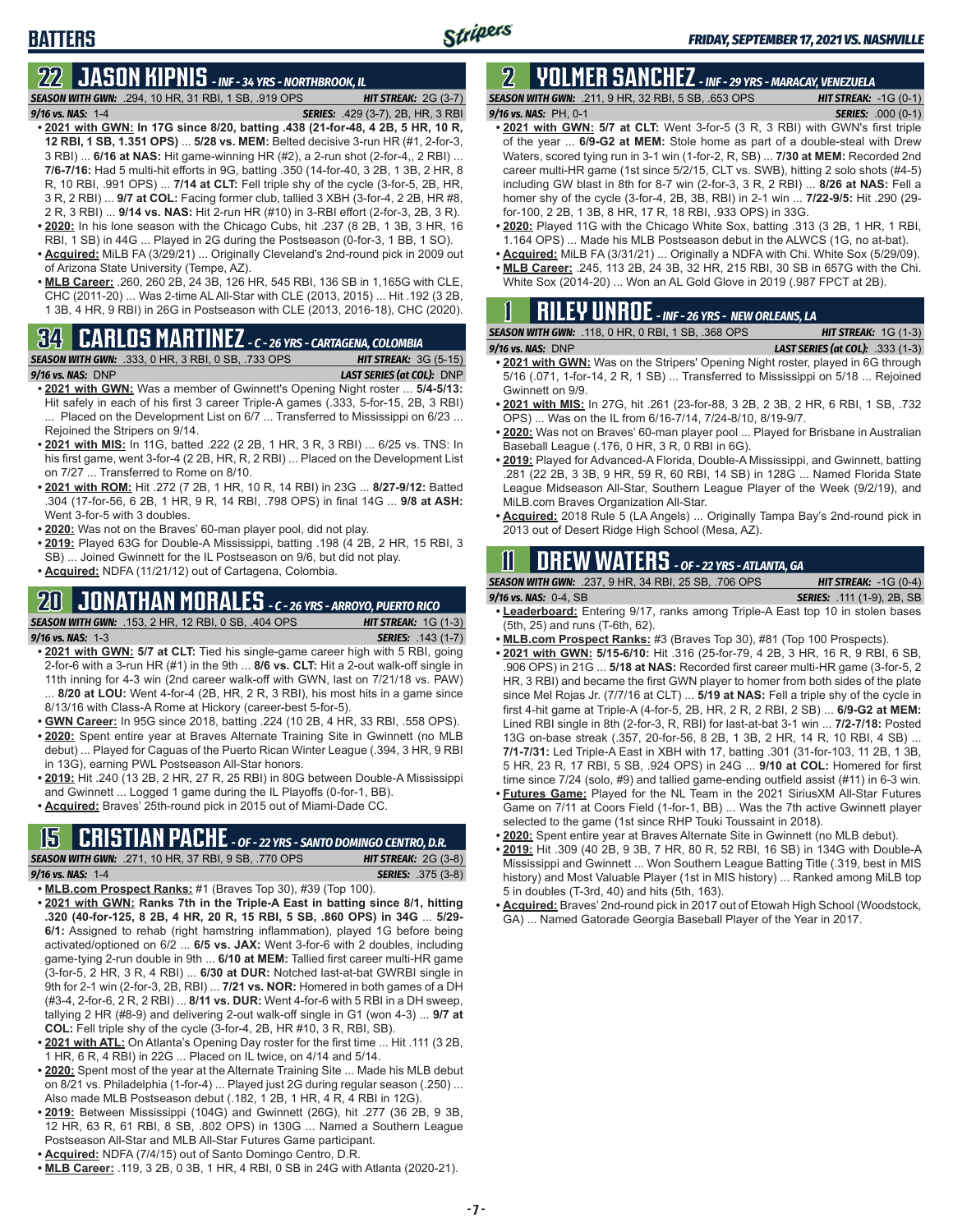# **22 JASON KIPNIS** *- INF - 34 YRS - NORTHBROOK, IL*

*SEASON WITH GWN:*.294, 10 HR, 31 RBI, 1 SB, .919 OPS *HIT STREAK:* 2G (3-7) *9/16 vs. NAS:*1-4 *SERIES:* .429 (3-7), 2B, HR, 3 RBI

- **• 2021 with GWN: In 17G since 8/20, batting .438 (21-for-48, 4 2B, 5 HR, 10 R, 12 RBI, 1 SB, 1.351 OPS)** ... **5/28 vs. MEM:** Belted decisive 3-run HR (#1, 2-for-3, 3 RBI) ... **6/16 at NAS:** Hit game-winning HR (#2), a 2-run shot (2-for-4,, 2 RBI) ... **7/6-7/16:** Had 5 multi-hit efforts in 9G, batting .350 (14-for-40, 3 2B, 1 3B, 2 HR, 8 R, 10 RBI, .991 OPS) ... **7/14 at CLT:** Fell triple shy of the cycle (3-for-5, 2B, HR, 3 R, 2 RBI) ... **9/7 at COL:** Facing former club, tallied 3 XBH (3-for-4, 2 2B, HR #8, 2 R, 3 RBI) ... **9/14 vs. NAS:** Hit 2-run HR (#10) in 3-RBI effort (2-for-3, 2B, 3 R). **• 2020:** In his lone season with the Chicago Cubs, hit .237 (8 2B, 1 3B, 3 HR, 16
- RBI, 1 SB) in 44G ... Played in 2G during the Postseason (0-for-3, 1 BB, 1 SO).
- **• Acquired:** MiLB FA (3/29/21) ... Originally Cleveland's 2nd-round pick in 2009 out of Arizona State University (Tempe, AZ).
- **• MLB Career:** .260, 260 2B, 24 3B, 126 HR, 545 RBI, 136 SB in 1,165G with CLE, CHC (2011-20) ... Was 2-time AL All-Star with CLE (2013, 2015) ... Hit .192 (3 2B, 1 3B, 4 HR, 9 RBI) in 26G in Postseason with CLE (2013, 2016-18), CHC (2020).

### **34 CARLOS MARTINEZ** *- C - 26 YRS - CARTAGENA, COLOMBIA*



- **• 2021 with GWN:** Was a member of Gwinnett's Opening Night roster ... **5/4-5/13:** Hit safely in each of his first 3 career Triple-A games (.333, 5-for-15, 2B, 3 RBI) ... Placed on the Development List on 6/7 ... Transferred to Mississippi on 6/23 ... Rejoined the Stripers on 9/14.
- **• 2021 with MIS:** In 11G, batted .222 (2 2B, 1 HR, 3 R, 3 RBI) ... 6/25 vs. TNS: In his first game, went 3-for-4 (2 2B, HR, R, 2 RBI) ... Placed on the Development List on 7/27 ... Transferred to Rome on 8/10.
- **• 2021 with ROM:** Hit .272 (7 2B, 1 HR, 10 R, 14 RBI) in 23G ... **8/27-9/12:** Batted .304 (17-for-56, 6 2B, 1 HR, 9 R, 14 RBI, .798 OPS) in final 14G ... **9/8 at ASH:** Went 3-for-5 with 3 doubles.
- **• 2020:** Was not on the Braves' 60-man player pool, did not play.
- **• 2019:** Played 63G for Double-A Mississippi, batting .198 (4 2B, 2 HR, 15 RBI, 3 SB) ... Joined Gwinnett for the IL Postseason on 9/6, but did not play.
- **• Acquired:** NDFA (11/21/12) out of Cartagena, Colombia.

#### **20 JONATHAN MORALES** *- C - 26 YRS - ARROYO, PUERTO RICO*

|                       | <b>SEASON WITH GWN: .153, 2 HR, 12 RBI, 0 SB, .404 OPS</b> |
|-----------------------|------------------------------------------------------------|
| $9/16$ vs. NAS: $1-3$ |                                                            |

**• 2021 with GWN: 5/7 at CLT:** Tied his single-game career high with 5 RBI, going 2-for-6 with a 3-run HR (#1) in the 9th ... **8/6 vs. CLT:** Hit a 2-out walk-off single in 11th inning for 4-3 win (2nd career walk-off with GWN, last on 7/21/18 vs. PAW) ... **8/20 at LOU:** Went 4-for-4 (2B, HR, 2 R, 3 RBI), his most hits in a game since 8/13/16 with Class-A Rome at Hickory (career-best 5-for-5).

**HIT STREAK:** 1G (1-3) *9/16 vs. NAS:*1-3 *SERIES:* .143 (1-7)

- **• GWN Career:** In 95G since 2018, batting .224 (10 2B, 4 HR, 33 RBI, .558 OPS).
- **• 2020:** Spent entire year at Braves Alternate Training Site in Gwinnett (no MLB debut) ... Played for Caguas of the Puerto Rican Winter League (.394, 3 HR, 9 RBI in 13G), earning PWL Postseason All-Star honors.
- **• 2019:** Hit .240 (13 2B, 2 HR, 27 R, 25 RBI) in 80G between Double-A Mississippi and Gwinnett ... Logged 1 game during the IL Playoffs (0-for-1, BB).
- **• Acquired:** Braves' 25th-round pick in 2015 out of Miami-Dade CC.

### **15 CRISTIAN PACHE** *- OF - 22 YRS - SANTO DOMINGO CENTRO, D.R.*

*SEASON WITH GWN:*.271, 10 HR, 37 RBI, 9 SB, .770 OPS *HIT STREAK:* 2G (3-8) *9/16 vs. NAS:* 1-4 *SERIES:* .375 (3-8)

- **• MLB.com Prospect Ranks:** #1 (Braves Top 30), #39 (Top 100).
- **• 2021 with GWN: Ranks 7th in the Triple-A East in batting since 8/1, hitting .320 (40-for-125, 8 2B, 4 HR, 20 R, 15 RBI, 5 SB, .860 OPS) in 34G** ... **5/29- 6/1:** Assigned to rehab (right hamstring inflammation), played 1G before being activated/optioned on 6/2 ... **6/5 vs. JAX:** Went 3-for-6 with 2 doubles, including game-tying 2-run double in 9th ... **6/10 at MEM:** Tallied first career multi-HR game (3-for-5, 2 HR, 3 R, 4 RBI) ... **6/30 at DUR:** Notched last-at-bat GWRBI single in 9th for 2-1 win (2-for-3, 2B, RBI) ... **7/21 vs. NOR:** Homered in both games of a DH (#3-4, 2-for-6, 2 R, 2 RBI) ... **8/11 vs. DUR:** Went 4-for-6 with 5 RBI in a DH sweep, tallying 2 HR (#8-9) and delivering 2-out walk-off single in G1 (won 4-3) ... **9/7 at COL:** Fell triple shy of the cycle (3-for-4, 2B, HR #10, 3 R, RBI, SB).
- **• 2021 with ATL:** On Atlanta's Opening Day roster for the first time ... Hit .111 (3 2B, 1 HR, 6 R, 4 RBI) in 22G ... Placed on IL twice, on 4/14 and 5/14.
- **• 2020:** Spent most of the year at the Alternate Training Site ... Made his MLB debut on 8/21 vs. Philadelphia (1-for-4) ... Played just 2G during regular season (.250) ... Also made MLB Postseason debut (.182, 1 2B, 1 HR, 4 R, 4 RBI in 12G).
- **• 2019:** Between Mississippi (104G) and Gwinnett (26G), hit .277 (36 2B, 9 3B, 12 HR, 63 R, 61 RBI, 8 SB, .802 OPS) in 130G ... Named a Southern League Postseason All-Star and MLB All-Star Futures Game participant.
- **• Acquired:** NDFA (7/4/15) out of Santo Domingo Centro, D.R.
- **• MLB Career:** .119, 3 2B, 0 3B, 1 HR, 4 RBI, 0 SB in 24G with Atlanta (2020-21).

# **2 YOLMER SANCHEZ** *- INF - 29 YRS - MARACAY, VENEZUELA*

*SEASON WITH GWN:*.211, 9 HR, 32 RBI, 5 SB, .653 OPS *HIT STREAK:* -1G (0-1)

- *9/16 vs. NAS:*PH, 0-1 *SERIES:* .000 (0-1)
- **• 2021 with GWN: 5/7 at CLT:** Went 3-for-5 (3 R, 3 RBI) with GWN's first triple of the year ... **6/9-G2 at MEM:** Stole home as part of a double-steal with Drew Waters, scored tying run in 3-1 win (1-for-2, R, SB) ... **7/30 at MEM:** Recorded 2nd career multi-HR game (1st since 5/2/15, CLT vs. SWB), hitting 2 solo shots (#4-5) including GW blast in 8th for 8-7 win (2-for-3, 3 R, 2 RBI) ... **8/26 at NAS:** Fell a homer shy of the cycle (3-for-4, 2B, 3B, RBI) in 2-1 win ... **7/22-9/5:** Hit .290 (29 for-100, 2 2B, 1 3B, 8 HR, 17 R, 18 RBI, .933 OPS) in 33G.
- **• 2020:** Played 11G with the Chicago White Sox, batting .313 (3 2B, 1 HR, 1 RBI, 1.164 OPS) ... Made his MLB Postseason debut in the ALWCS (1G, no at-bat).
- **• Acquired:** MiLB FA (3/31/21) ... Originally a NDFA with Chi. White Sox (5/29/09). **• MLB Career:** .245, 113 2B, 24 3B, 32 HR, 215 RBI, 30 SB in 657G with the Chi.
- White Sox (2014-20) ... Won an AL Gold Glove in 2019 (.987 FPCT at 2B).

|  | $\mathbf 1$ <b>RILEY UNROE</b> - INF - 26 YRS - NEW ORLEANS, LA                 |  |                            |  |
|--|---------------------------------------------------------------------------------|--|----------------------------|--|
|  | <b>CON MITH CIMM.</b> $440$ $\land$ HD $\land$ DDI $4$ CD $\land$ CO $\land$ DC |  | <b>LIT CTDEAV.</b> $4\cap$ |  |

| <b>SEASON WITH GWN:</b> .118. 0 HR. 0 RBI. 1 SB. .368 OPS | <b>HIT STREAK:</b> $1G(1-3)$            |
|-----------------------------------------------------------|-----------------------------------------|
| $9/16$ vs. NAS: DNP                                       | <b>LAST SERIES (at COL):</b> .333 (1-3) |
|                                                           |                                         |

- **• 2021 with GWN:** Was on the Stripers' Opening Night roster, played in 6G through 5/16 (.071, 1-for-14, 2 R, 1 SB) ... Transferred to Mississippi on 5/18 ... Rejoined Gwinnett on 9/9.
- **• 2021 with MIS:** In 27G, hit .261 (23-for-88, 3 2B, 2 3B, 2 HR, 6 RBI, 1 SB, .732 OPS) ... Was on the IL from 6/16-7/14, 7/24-8/10, 8/19-9/7.
- **• 2020:** Was not on Braves' 60-man player pool ... Played for Brisbane in Australian Baseball League (.176, 0 HR, 3 R, 0 RBI in 6G).
- **• 2019:** Played for Advanced-A Florida, Double-A Mississippi, and Gwinnett, batting .281 (22 2B, 3 3B, 9 HR, 59 R, 60 RBI, 14 SB) in 128G ... Named Florida State League Midseason All-Star, Southern League Player of the Week (9/2/19), and MiLB.com Braves Organization All-Star.
- **• Acquired:** 2018 Rule 5 (LA Angels) ... Originally Tampa Bay's 2nd-round pick in 2013 out of Desert Ridge High School (Mesa, AZ).

### **11 Drew WATERS** *- OF - 22 YRS - ATLANTA, GA*

*SEASON WITH GWN:*.237, 9 HR, 34 RBI, 25 SB, .706 OPS *HIT STREAK:* -1G (0-4)

*9/16 vs. NAS:*0-4, SB *SERIES:* .111 (1-9), 2B, SB

- **• Leaderboard:** Entering 9/17, ranks among Triple-A East top 10 in stolen bases (5th, 25) and runs (T-6th, 62).
- **• MLB.com Prospect Ranks:** #3 (Braves Top 30), #81 (Top 100 Prospects).
- **• 2021 with GWN: 5/15-6/10:** Hit .316 (25-for-79, 4 2B, 3 HR, 16 R, 9 RBI, 6 SB, .906 OPS) in 21G ... **5/18 at NAS:** Recorded first career multi-HR game (3-for-5, 2 HR, 3 RBI) and became the first GWN player to homer from both sides of the plate since Mel Rojas Jr. (7/7/16 at CLT) ... **5/19 at NAS:** Fell a triple shy of the cycle in first 4-hit game at Triple-A (4-for-5, 2B, HR, 2 R, 2 RBI, 2 SB) ... **6/9-G2 at MEM:** Lined RBI single in 8th (2-for-3, R, RBI) for last-at-bat 3-1 win ... **7/2-7/18:** Posted 13G on-base streak (.357, 20-for-56, 8 2B, 1 3B, 2 HR, 14 R, 10 RBI, 4 SB) ... **7/1-7/31:** Led Triple-A East in XBH with 17, batting .301 (31-for-103, 11 2B, 1 3B, 5 HR, 23 R, 17 RBI, 5 SB, .924 OPS) in 24G ... **9/10 at COL:** Homered for first time since 7/24 (solo, #9) and tallied game-ending outfield assist (#11) in 6-3 win.
- **• Futures Game:** Played for the NL Team in the 2021 SiriusXM All-Star Futures Game on 7/11 at Coors Field (1-for-1, BB) ... Was the 7th active Gwinnett player selected to the game (1st since RHP Touki Toussaint in 2018).
- **• 2020:** Spent entire year at Braves Alternate Site in Gwinnett (no MLB debut).
- **• 2019:** Hit .309 (40 2B, 9 3B, 7 HR, 80 R, 52 RBI, 16 SB) in 134G with Double-A Mississippi and Gwinnett ... Won Southern League Batting Title (.319, best in MIS history) and Most Valuable Player (1st in MIS history) ... Ranked among MiLB top 5 in doubles (T-3rd, 40) and hits (5th, 163).
- **• Acquired:** Braves' 2nd-round pick in 2017 out of Etowah High School (Woodstock, GA) ... Named Gatorade Georgia Baseball Player of the Year in 2017.

**BATTERS**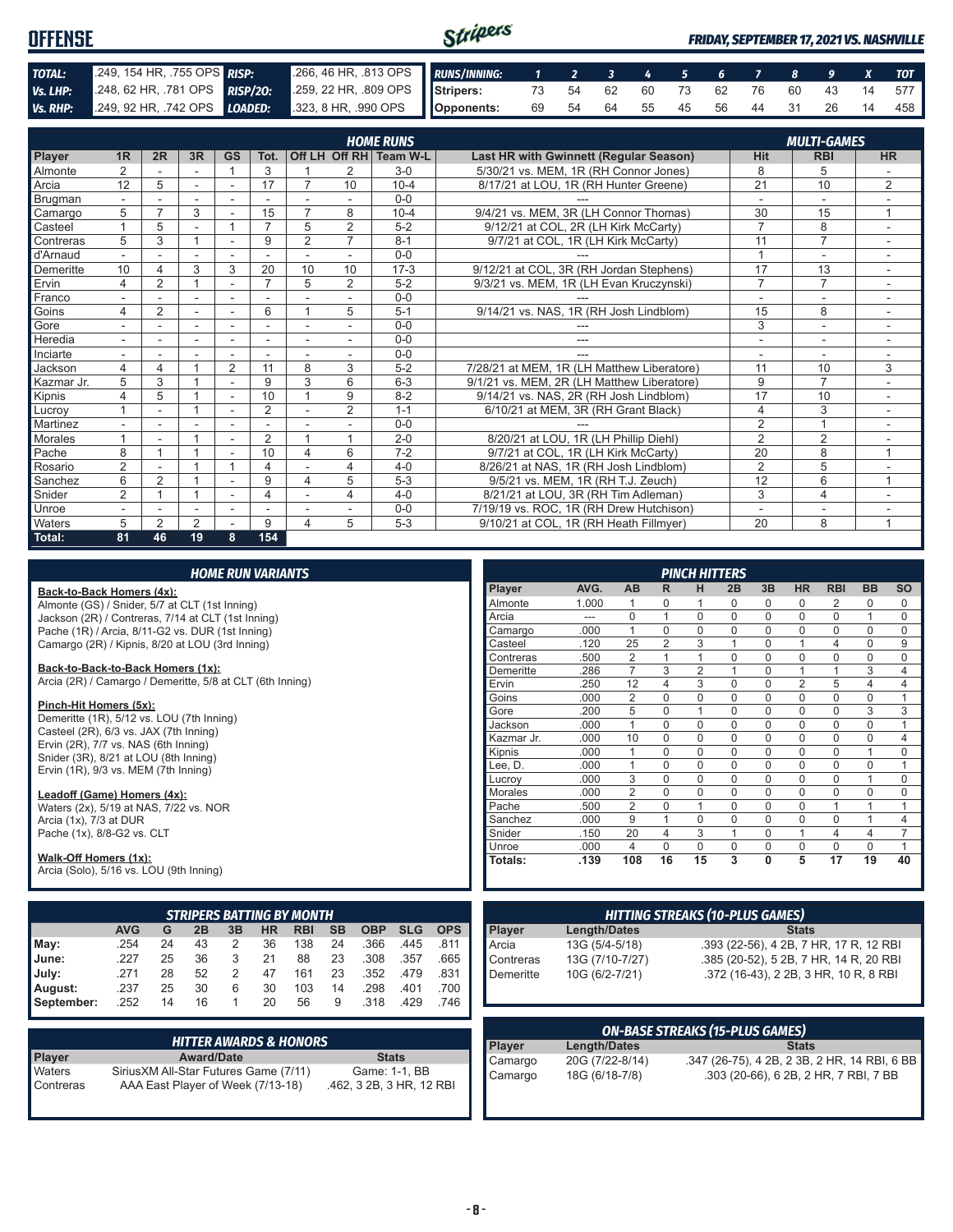| <b>OFFENSE</b> |  |                                                                                              | Stripers |  |  |  |  |  | <b>FRIDAY, SEPTEMBER 17, 2021 VS. NASHVILLE</b> |  |  |  |  |                                   |  |
|----------------|--|----------------------------------------------------------------------------------------------|----------|--|--|--|--|--|-------------------------------------------------|--|--|--|--|-----------------------------------|--|
| TOTAL:         |  | 2.249, 154 HR, 755 OPS RISP: 266, 46 HR, 813 OPS RUNS/INNING: 1 2 3 4 5 6 7 8 9 X TOT        |          |  |  |  |  |  |                                                 |  |  |  |  |                                   |  |
| Vs. LHP:       |  | 248, 62 HR, 781 OPS RISP/20: 259, 22 HR, 809 OPS Stripers: 73 54 62 60 73 62 76 60 43 14 577 |          |  |  |  |  |  |                                                 |  |  |  |  |                                   |  |
|                |  | Vs. RHP: 249, 92 HR, 742 OPS LOADED: 323, 8 HR, 990 OPS Opponents:                           |          |  |  |  |  |  |                                                 |  |  |  |  | 69 54 64 55 45 56 44 31 26 14 458 |  |

|                |                |                |                          |                          |                |                |                | <b>HOME RUNS</b>       |                                            | <b>MULTI-GAMES</b> |                |                          |  |  |
|----------------|----------------|----------------|--------------------------|--------------------------|----------------|----------------|----------------|------------------------|--------------------------------------------|--------------------|----------------|--------------------------|--|--|
| Player         | 1R             | 2R             | 3R                       | <b>GS</b>                | Tot.           |                |                | Off LH Off RH Team W-L | Last HR with Gwinnett (Regular Season)     | <b>Hit</b>         | <b>RBI</b>     | <b>HR</b>                |  |  |
| Almonte        | 2              |                |                          |                          | 3              |                | $\overline{2}$ | $3-0$                  | 5/30/21 vs. MEM, 1R (RH Connor Jones)      | 8                  | 5              |                          |  |  |
| Arcia          | 12             | 5              | $\sim$                   | $\sim$                   | 17             |                | 10             | $10 - 4$               | 8/17/21 at LOU, 1R (RH Hunter Greene)      | $\overline{21}$    | 10             | $\overline{2}$           |  |  |
| Brugman        |                |                |                          |                          |                |                |                | $0 - 0$                |                                            | ÷                  | $\sim$         |                          |  |  |
| Camargo        | 5              | ⇁              | 3                        |                          | 15             | 7              | 8              | $10 - 4$               | 9/4/21 vs. MEM, 3R (LH Connor Thomas)      | 30                 | 15             | 1                        |  |  |
| Casteel        |                | 5              | ٠                        |                          | $\overline{ }$ | 5              | $\overline{2}$ | $5 - 2$                | 9/12/21 at COL, 2R (LH Kirk McCarty)       | $\overline{7}$     | 8              | $\overline{\phantom{a}}$ |  |  |
| Contreras      | 5              | 3              |                          | $\overline{a}$           | 9              | $\overline{2}$ | $\overline{7}$ | $8 - 1$                | 9/7/21 at COL, 1R (LH Kirk McCarty)        | 11                 | $\overline{7}$ |                          |  |  |
| d'Arnaud       |                |                |                          |                          |                |                |                | $0 - 0$                |                                            |                    | ٠              |                          |  |  |
| Demeritte      | 10             |                | 3                        | 3                        | 20             | 10             | 10             | $17-3$                 | 9/12/21 at COL, 3R (RH Jordan Stephens)    | 17                 | 13             |                          |  |  |
| Ervin          | 4              | $\overline{2}$ |                          |                          | $\overline{ }$ | 5              | $\overline{2}$ | $5 - 2$                | 9/3/21 vs. MEM, 1R (LH Evan Kruczynski)    | $\overline{7}$     | $\overline{7}$ |                          |  |  |
| Franco         |                |                |                          |                          |                |                |                | $0 - 0$                |                                            |                    |                |                          |  |  |
| Goins          | 4              | $\overline{2}$ | $\overline{\phantom{a}}$ | ٠                        | 6              |                | 5              | $5 - 1$                | 9/14/21 vs. NAS, 1R (RH Josh Lindblom)     | 15                 | 8              |                          |  |  |
| Gore           |                |                | $\overline{\phantom{a}}$ | ٠                        |                |                |                | $0 - 0$                |                                            | 3                  | ۰              |                          |  |  |
| Heredia        |                |                | ٠                        | $\overline{a}$           |                | ٠              |                | $0 - 0$                | ---                                        | ٠                  | ٠              |                          |  |  |
| Inciarte       |                |                |                          |                          |                |                |                | $0 - 0$                |                                            |                    |                |                          |  |  |
| Jackson        | 4              | $\overline{4}$ |                          | 2                        | 11             | 8              | 3              | $5 - 2$                | 7/28/21 at MEM, 1R (LH Matthew Liberatore) | 11                 | 10             | 3                        |  |  |
| Kazmar Jr.     | 5              | 3              |                          |                          | 9              | 3              | 6              | $6 - 3$                | 9/1/21 vs. MEM, 2R (LH Matthew Liberatore) | 9                  | $\overline{7}$ |                          |  |  |
| Kipnis         | 4              | 5              |                          | $\overline{\phantom{a}}$ | 10             |                | 9              | $8 - 2$                | 9/14/21 vs. NAS, 2R (RH Josh Lindblom)     | 17                 | 10             |                          |  |  |
| Lucrov         |                |                |                          | ٠                        | $\overline{2}$ |                | 2              | $1 - 1$                | 6/10/21 at MEM, 3R (RH Grant Black)        | $\overline{4}$     | 3              |                          |  |  |
| Martinez       |                |                |                          |                          |                |                |                | $0 - 0$                |                                            | $\overline{2}$     | $\overline{A}$ |                          |  |  |
| <b>Morales</b> |                |                |                          | ٠                        | $\overline{2}$ |                | 1              | $2 - 0$                | 8/20/21 at LOU, 1R (LH Phillip Diehl)      | $\overline{2}$     | $\overline{2}$ |                          |  |  |
| Pache          | 8              |                |                          | ٠                        | 10             | 4              | 6              | $7 - 2$                | 9/7/21 at COL, 1R (LH Kirk McCarty)        | 20                 | 8              | 1                        |  |  |
| Rosario        | $\overline{2}$ |                |                          |                          | 4              |                | 4              | $4 - 0$                | 8/26/21 at NAS, 1R (RH Josh Lindblom)      | $\overline{2}$     | 5              |                          |  |  |
| Sanchez        | 6              | 2              |                          |                          | 9              | 4              | 5              | $5 - 3$                | 9/5/21 vs. MEM, 1R (RH T.J. Zeuch)         | 12                 | 6              | 1                        |  |  |
| Snider         | $\overline{2}$ |                |                          | ٠                        | 4              |                | 4              | $4 - 0$                | 8/21/21 at LOU, 3R (RH Tim Adleman)        | 3                  | 4              |                          |  |  |
| Unroe          |                |                |                          | $\overline{\phantom{a}}$ |                |                |                | $0 - 0$                | 7/19/19 vs. ROC. 1R (RH Drew Hutchison)    | ٠                  | ۰              |                          |  |  |
| Waters         | 5              | $\mathfrak{p}$ | 2                        |                          | 9              | 4              | 5              | $5 - 3$                | 9/10/21 at COL, 1R (RH Heath Fillmyer)     | 20                 | 8              | 1                        |  |  |
| Total:         | 81             | 46             | 19                       | 8                        | 154            |                |                |                        |                                            |                    |                |                          |  |  |

| <b>HOME RUN VARIANTS</b> |
|--------------------------|
|--------------------------|

#### **Back-to-Back Homers (4x):**

Almonte (GS) / Snider, 5/7 at CLT (1st Inning) Jackson (2R) / Contreras, 7/14 at CLT (1st Inning) Pache (1R) / Arcia, 8/11-G2 vs. DUR (1st Inning) Camargo (2R) / Kipnis, 8/20 at LOU (3rd Inning)

#### **Back-to-Back-to-Back Homers (1x):**

Arcia (2R) / Camargo / Demeritte, 5/8 at CLT (6th Inning)

#### **Pinch-Hit Homers (5x):**

Demeritte (1R), 5/12 vs. LOU (7th Inning) Casteel (2R), 6/3 vs. JAX (7th Inning) Ervin  $(2R)$ ,  $7/7$  vs. NAS  $(6th$  Inning) Snider (3R), 8/21 at LOU (8th Inning) Ervin (1R), 9/3 vs. MEM (7th Inning)

#### **Leadoff (Game) Homers (4x):**

Waters (2x), 5/19 at NAS, 7/22 vs. NOR Arcia (1x), 7/3 at DUR Pache (1x), 8/8-G2 vs. CLT

#### **Walk-Off Homers (1x):**

Arcia (Solo), 5/16 vs. LOU (9th Inning)

|            | <b>STRIPERS BATTING BY MONTH</b>                                                                       |    |    |   |    |     |    |      |      |      |  |  |  |  |  |
|------------|--------------------------------------------------------------------------------------------------------|----|----|---|----|-----|----|------|------|------|--|--|--|--|--|
|            | <b>AVG</b><br><b>SB</b><br><b>OBP</b><br><b>SLG</b><br>ΗR<br><b>RBI</b><br><b>OPS</b><br>G<br>2B<br>3B |    |    |   |    |     |    |      |      |      |  |  |  |  |  |
| May:       | .254                                                                                                   | 24 | 43 | 2 | 36 | 138 | 24 | .366 | .445 | .811 |  |  |  |  |  |
| June:      | 227                                                                                                    | 25 | 36 | 3 | 21 | 88  | 23 | .308 | .357 | .665 |  |  |  |  |  |
| July:      | .271                                                                                                   | 28 | 52 | 2 | 47 | 161 | 23 | .352 | .479 | .831 |  |  |  |  |  |
| August:    | .237                                                                                                   | 25 | 30 | 6 | 30 | 103 | 14 | .298 | .401 | .700 |  |  |  |  |  |
| September: | .252                                                                                                   | 14 | 16 |   | 20 | 56  | 9  | .318 | .429 | .746 |  |  |  |  |  |

|               | <b>HITTER AWARDS &amp; HONORS</b>      |                          |
|---------------|----------------------------------------|--------------------------|
| <b>Player</b> | <b>Award/Date</b>                      | <b>Stats</b>             |
| Waters        | Sirius XM All-Star Futures Game (7/11) | Game: 1-1, BB            |
| Contreras     | AAA East Player of Week (7/13-18)      | .462, 3 2B, 3 HR, 12 RBI |

| <b>PINCH HITTERS</b> |       |                |                |                |          |             |                |                |                |                         |  |  |  |
|----------------------|-------|----------------|----------------|----------------|----------|-------------|----------------|----------------|----------------|-------------------------|--|--|--|
| Player               | AVG.  | <b>AB</b>      | R              | н              | 2B       | 3B          | <b>HR</b>      | <b>RBI</b>     | <b>BB</b>      | <b>SO</b>               |  |  |  |
| Almonte              | 1.000 | 1              | 0              | 1              | 0        | 0           | 0              | 2              | 0              | $\Omega$                |  |  |  |
| Arcia                | ---   | $\Omega$       | 1              | $\Omega$       | $\Omega$ | $\Omega$    | $\Omega$       | $\Omega$       | 1              | $\Omega$                |  |  |  |
| Camargo              | .000  | 1              | $\Omega$       | 0              | $\Omega$ | 0           | $\mathbf 0$    | $\mathbf 0$    | $\Omega$       | $\Omega$                |  |  |  |
| Casteel              | .120  | 25             | $\overline{2}$ | 3              | 1        | $\Omega$    | 1              | 4              | $\Omega$       | 9                       |  |  |  |
| Contreras            | .500  | $\overline{2}$ | 1              | 1              | $\Omega$ | $\Omega$    | $\mathbf 0$    | $\mathbf 0$    | $\Omega$       | $\Omega$                |  |  |  |
| Demeritte            | .286  | $\overline{7}$ | 3              | $\overline{2}$ | 1        | 0           | 1              | 1              | 3              | $\overline{\mathbf{4}}$ |  |  |  |
| Ervin                | .250  | 12             | 4              | 3              | $\Omega$ | 0           | $\overline{2}$ | 5              | 4              | $\overline{4}$          |  |  |  |
| Goins                | .000  | $\overline{2}$ | $\Omega$       | $\Omega$       | $\Omega$ | $\Omega$    | $\Omega$       | $\Omega$       | $\Omega$       | 1                       |  |  |  |
| Gore                 | .200  | 5              | $\mathbf 0$    | 1              | $\Omega$ | 0           | $\mathbf 0$    | $\mathbf 0$    | 3              | 3                       |  |  |  |
| Jackson              | .000  | 1              | $\Omega$       | $\Omega$       | $\Omega$ | $\Omega$    | $\Omega$       | $\Omega$       | $\Omega$       | 1                       |  |  |  |
| Kazmar Jr.           | .000  | 10             | $\Omega$       | 0              | $\Omega$ | $\Omega$    | $\Omega$       | $\Omega$       | $\Omega$       | 4                       |  |  |  |
| Kipnis               | .000  | 1              | $\Omega$       | $\Omega$       | $\Omega$ | $\mathbf 0$ | $\mathbf 0$    | $\mathbf 0$    | 1              | $\Omega$                |  |  |  |
| Lee, D.              | .000  | 1              | $\Omega$       | 0              | $\Omega$ | 0           | $\mathbf 0$    | $\Omega$       | $\Omega$       | 1                       |  |  |  |
| Lucrov               | .000  | 3              | $\Omega$       | $\Omega$       | $\Omega$ | $\Omega$    | $\mathbf 0$    | $\Omega$       | 1              | $\Omega$                |  |  |  |
| <b>Morales</b>       | .000  | $\overline{2}$ | $\Omega$       | 0              | $\Omega$ | 0           | $\mathbf 0$    | $\mathbf 0$    | 0              | $\Omega$                |  |  |  |
| Pache                | .500  | $\overline{2}$ | $\Omega$       | 1              | 0        | 0           | $\Omega$       | 1              | 1              | 1                       |  |  |  |
| Sanchez              | .000  | 9              | 1              | 0              | 0        | 0           | $\mathbf 0$    | $\mathbf 0$    | 1              | $\overline{4}$          |  |  |  |
| Snider               | .150  | 20             | 4              | 3              | 1        | $\Omega$    | 1              | $\overline{4}$ | $\overline{4}$ | 7                       |  |  |  |
| Unroe                | .000  | 4              | $\Omega$       | $\Omega$       | $\Omega$ | 0           | $\Omega$       | $\Omega$       | $\Omega$       | 1                       |  |  |  |
| <b>Totals:</b>       | .139  | 108            | 16             | 15             | 3        | $\bf{0}$    | 5              | 17             | 19             | 40                      |  |  |  |

| <b>HITTING STREAKS (10-PLUS GAMES)</b>    |                 |                                        |
|-------------------------------------------|-----------------|----------------------------------------|
|                                           | Length/Dates    | <b>Stats</b>                           |
|                                           | 13G (5/4-5/18)  | .393 (22-56), 4 2B, 7 HR, 17 R, 12 RBI |
|                                           | 13G (7/10-7/27) | .385 (20-52), 5 2B, 7 HR, 14 R, 20 RBI |
| Player<br>Arcia<br>Contreras<br>Demeritte | 10G (6/2-7/21)  | .372 (16-43), 2 2B, 3 HR, 10 R, 8 RBI  |
|                                           |                 |                                        |

| <b>ON-BASE STREAKS (15-PLUS GAMES)</b> |                 |                                              |
|----------------------------------------|-----------------|----------------------------------------------|
| Player                                 | Length/Dates    | <b>Stats</b>                                 |
| Camargo                                | 20G (7/22-8/14) | .347 (26-75), 4 2B, 2 3B, 2 HR, 14 RBI, 6 BB |
| Camargo                                | 18G (6/18-7/8)  | .303 (20-66), 6 2B, 2 HR, 7 RBI, 7 BB        |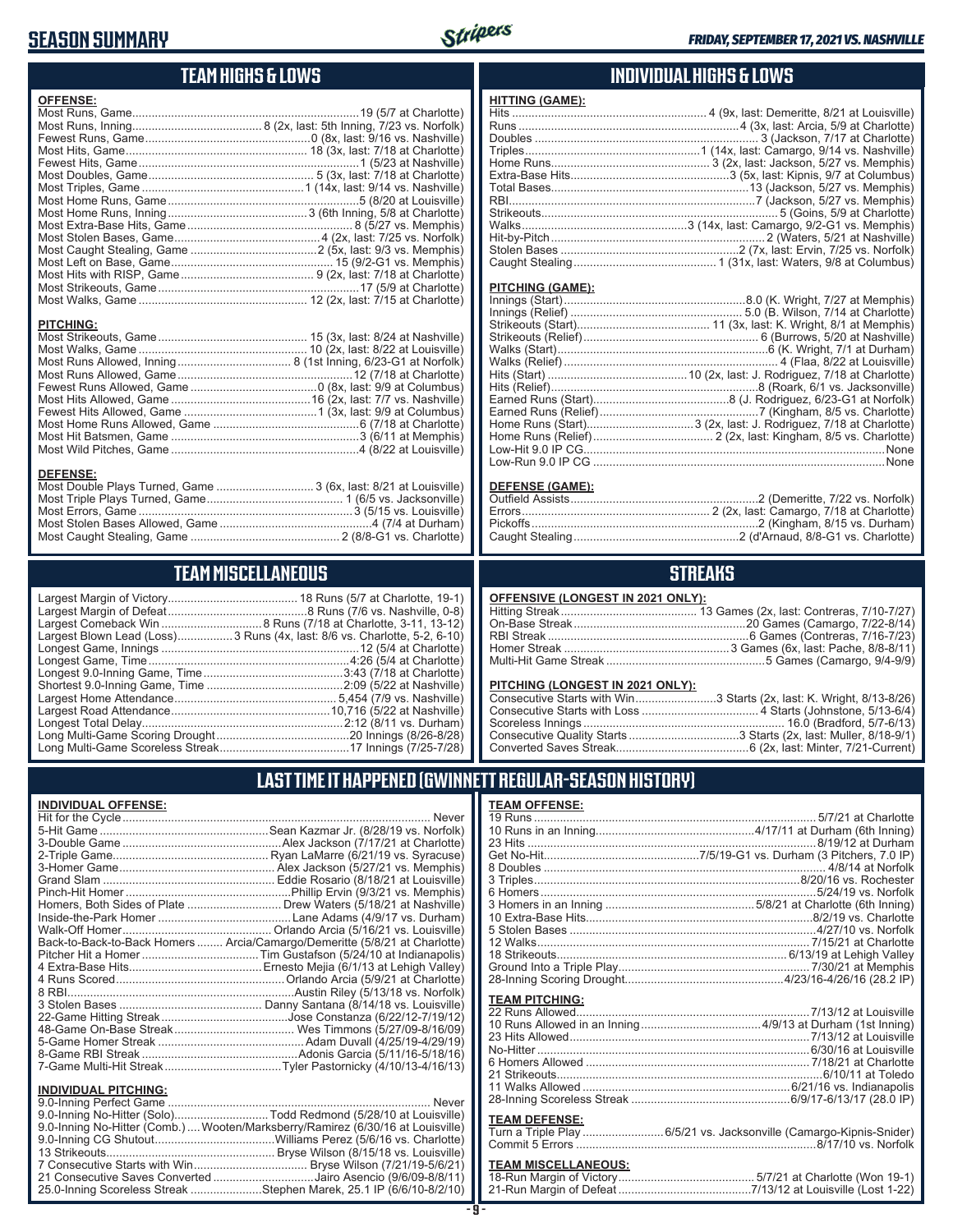### **SEASON SUMMARY**



### **TEAM HIGHS & LOWS**

| <b>OFFENSE:</b>                                                  |  |
|------------------------------------------------------------------|--|
|                                                                  |  |
|                                                                  |  |
|                                                                  |  |
|                                                                  |  |
|                                                                  |  |
|                                                                  |  |
|                                                                  |  |
|                                                                  |  |
|                                                                  |  |
|                                                                  |  |
|                                                                  |  |
|                                                                  |  |
|                                                                  |  |
|                                                                  |  |
|                                                                  |  |
|                                                                  |  |
|                                                                  |  |
| <b>PITCHING:</b>                                                 |  |
|                                                                  |  |
|                                                                  |  |
|                                                                  |  |
|                                                                  |  |
|                                                                  |  |
|                                                                  |  |
|                                                                  |  |
|                                                                  |  |
|                                                                  |  |
|                                                                  |  |
|                                                                  |  |
| <b>DEFENSE:</b>                                                  |  |
| Most Double Plays Turned, Game  3 (6x, last: 8/21 at Louisville) |  |
|                                                                  |  |

Most Errors, Game ..................................................................3 (5/15 vs. Louisville) Most Stolen Bases Allowed, Game ...............................................4 (7/4 at Durham) Most Caught Stealing, Game .............................................. 2 (8/8-G1 vs. Charlotte)

### **TEAM MISCELLANEOUS**

| Largest Blown Lead (Loss) 3 Runs (4x, last: 8/6 vs. Charlotte, 5-2, 6-10) |
|---------------------------------------------------------------------------|
|                                                                           |
|                                                                           |
|                                                                           |
|                                                                           |
|                                                                           |
|                                                                           |
|                                                                           |
|                                                                           |
|                                                                           |

#### **INDIVIDUAL HIGHS & LOWS**

| <b>HITTING (GAME):</b> |  |
|------------------------|--|
|                        |  |
|                        |  |
|                        |  |
|                        |  |
|                        |  |
|                        |  |
|                        |  |
|                        |  |
|                        |  |
|                        |  |
|                        |  |
|                        |  |
|                        |  |
|                        |  |

#### **PITCHING (GAME):**

| None |
|------|
|      |
|      |

#### **DEFENSE (GAME):**

#### **STREAKS**

#### **OFFENSIVE (LONGEST IN 2021 ONLY):**

#### **PITCHING (LONGEST IN 2021 ONLY):**

| Consecutive Starts with Win3 Starts (2x, last: K. Wright, 8/13-8/26) |
|----------------------------------------------------------------------|
|                                                                      |
|                                                                      |
|                                                                      |
|                                                                      |

### **LAST TIME IT HAPPENED (GWINNETT REGULAR-SEASON HISTORY)**

#### **INDIVIDUAL OFFENSE:**

|                                                               | Homers, Both Sides of Plate ………………………… Drew Waters (5/18/21 at Nashville)  |
|---------------------------------------------------------------|----------------------------------------------------------------------------|
|                                                               |                                                                            |
|                                                               |                                                                            |
|                                                               | Back-to-Back-to-Back Homers  Arcia/Camargo/Demeritte (5/8/21 at Charlotte) |
|                                                               |                                                                            |
|                                                               |                                                                            |
|                                                               |                                                                            |
|                                                               |                                                                            |
|                                                               |                                                                            |
|                                                               |                                                                            |
|                                                               |                                                                            |
|                                                               |                                                                            |
|                                                               |                                                                            |
|                                                               |                                                                            |
|                                                               |                                                                            |
| <b>INDIVIDUAL PITCHING:</b><br><b>Q O-Inning Perfect Game</b> | Never                                                                      |
|                                                               |                                                                            |

| 9.0-Inning No-Hitter (Comb.) Wooten/Marksberry/Ramirez (6/30/16 at Louisville) |
|--------------------------------------------------------------------------------|
|                                                                                |
|                                                                                |
|                                                                                |
| 21 Consecutive Saves Converted Jairo Asencio (9/6/09-8/8/11)                   |
| 25.0-Inning Scoreless Streak Stephen Marek, 25.1 IP (6/6/10-8/2/10)            |

#### **TEAM OFFENSE:**

|                       | 12 Walks………………………………………………………………………7/15/21 at Charlotte |
|-----------------------|---------------------------------------------------------|
| <b>TEAM PITCHING:</b> |                                                         |

#### **TEAM DEFENSE:**

| Turn a Triple Play 6/5/21 vs. Jacksonville (Camargo-Kipnis-Snider) |
|--------------------------------------------------------------------|
|                                                                    |

### **TEAM MISCELLANEOUS:**<br>18-Run Margin of Victory....